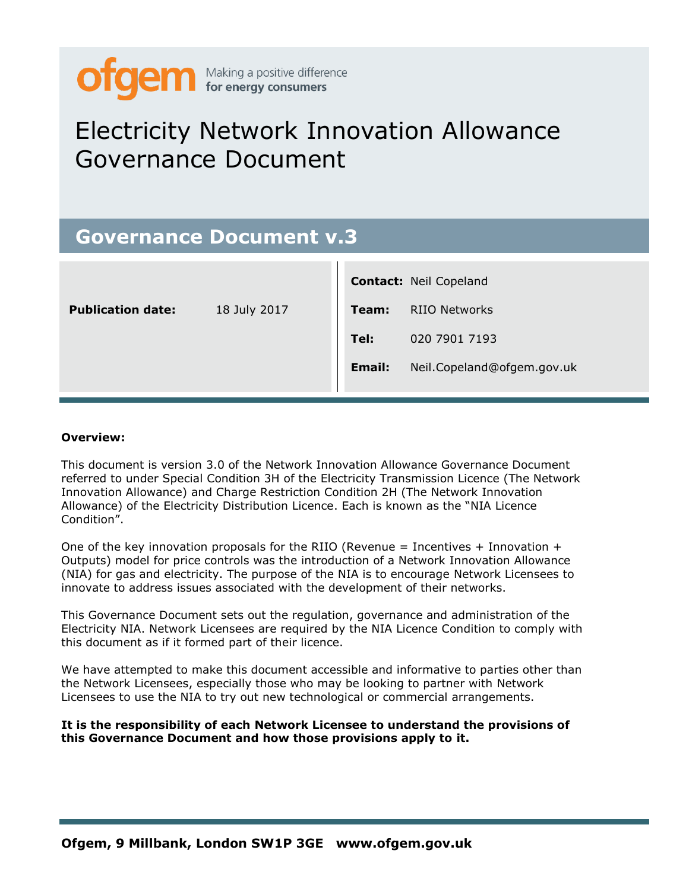

# Electricity Network Innovation Allowance Governance Document

## **Governance Document v.3**

|                          |              |               | <b>Contact: Neil Copeland</b> |
|--------------------------|--------------|---------------|-------------------------------|
| <b>Publication date:</b> | 18 July 2017 | Team:         | RIIO Networks                 |
|                          |              | Tel:          | 020 7901 7193                 |
|                          |              | <b>Email:</b> | Neil.Copeland@ofgem.gov.uk    |
|                          |              |               |                               |

#### **Overview:**

This document is version 3.0 of the Network Innovation Allowance Governance Document referred to under Special Condition 3H of the Electricity Transmission Licence (The Network Innovation Allowance) and Charge Restriction Condition 2H (The Network Innovation Allowance) of the Electricity Distribution Licence. Each is known as the "NIA Licence Condition".

One of the key innovation proposals for the RIIO (Revenue = Incentives + Innovation + Outputs) model for price controls was the introduction of a Network Innovation Allowance (NIA) for gas and electricity. The purpose of the NIA is to encourage Network Licensees to innovate to address issues associated with the development of their networks.

This Governance Document sets out the regulation, governance and administration of the Electricity NIA. Network Licensees are required by the NIA Licence Condition to comply with this document as if it formed part of their licence.

We have attempted to make this document accessible and informative to parties other than the Network Licensees, especially those who may be looking to partner with Network Licensees to use the NIA to try out new technological or commercial arrangements.

#### **It is the responsibility of each Network Licensee to understand the provisions of this Governance Document and how those provisions apply to it.**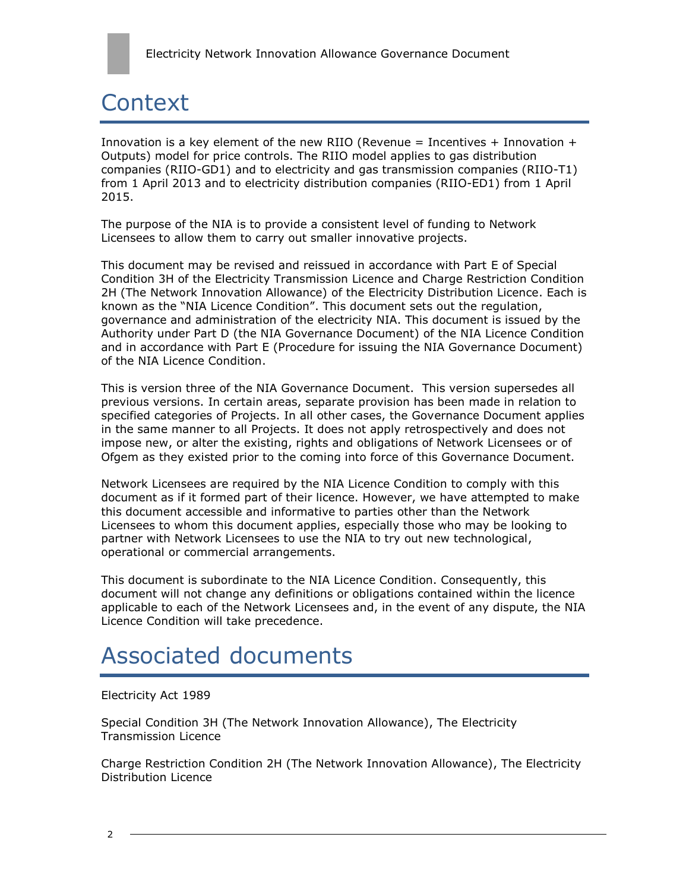## **Context**

Innovation is a key element of the new RIIO (Revenue = Incentives  $+$  Innovation  $+$ Outputs) model for price controls. The RIIO model applies to gas distribution companies (RIIO-GD1) and to electricity and gas transmission companies (RIIO-T1) from 1 April 2013 and to electricity distribution companies (RIIO-ED1) from 1 April 2015.

The purpose of the NIA is to provide a consistent level of funding to Network Licensees to allow them to carry out smaller innovative projects.

This document may be revised and reissued in accordance with Part E of Special Condition 3H of the Electricity Transmission Licence and Charge Restriction Condition 2H (The Network Innovation Allowance) of the Electricity Distribution Licence. Each is known as the "NIA Licence Condition". This document sets out the regulation, governance and administration of the electricity NIA. This document is issued by the Authority under Part D (the NIA Governance Document) of the NIA Licence Condition and in accordance with Part E (Procedure for issuing the NIA Governance Document) of the NIA Licence Condition.

This is version three of the NIA Governance Document. This version supersedes all previous versions. In certain areas, separate provision has been made in relation to specified categories of Projects. In all other cases, the Governance Document applies in the same manner to all Projects. It does not apply retrospectively and does not impose new, or alter the existing, rights and obligations of Network Licensees or of Ofgem as they existed prior to the coming into force of this Governance Document.

Network Licensees are required by the NIA Licence Condition to comply with this document as if it formed part of their licence. However, we have attempted to make this document accessible and informative to parties other than the Network Licensees to whom this document applies, especially those who may be looking to partner with Network Licensees to use the NIA to try out new technological, operational or commercial arrangements.

This document is subordinate to the NIA Licence Condition. Consequently, this document will not change any definitions or obligations contained within the licence applicable to each of the Network Licensees and, in the event of any dispute, the NIA Licence Condition will take precedence.

## Associated documents

#### Electricity Act 1989

Special Condition 3H (The Network Innovation Allowance), The Electricity Transmission Licence

Charge Restriction Condition 2H (The Network Innovation Allowance), The Electricity Distribution Licence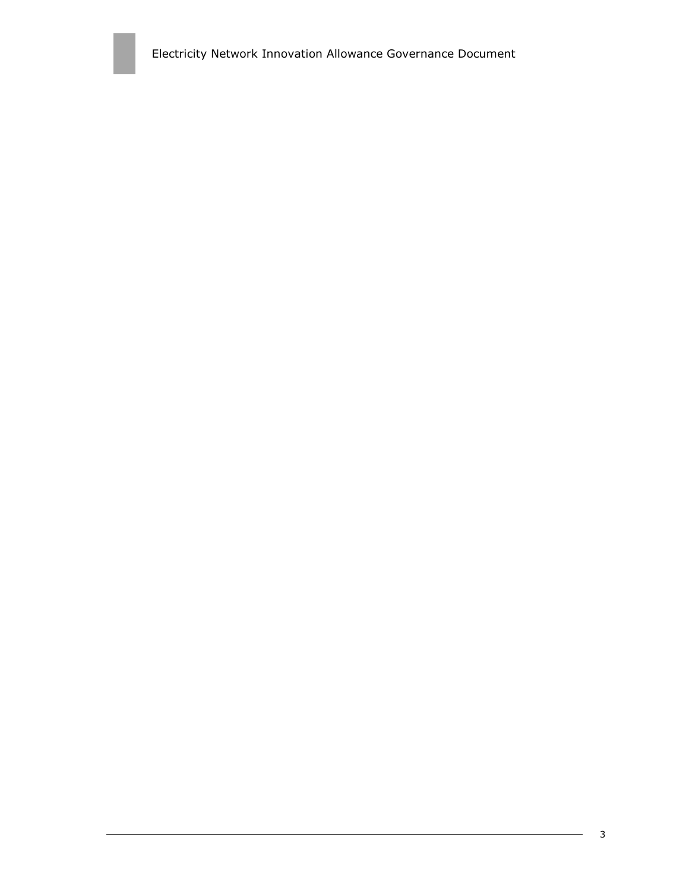$\overline{\phantom{a}}$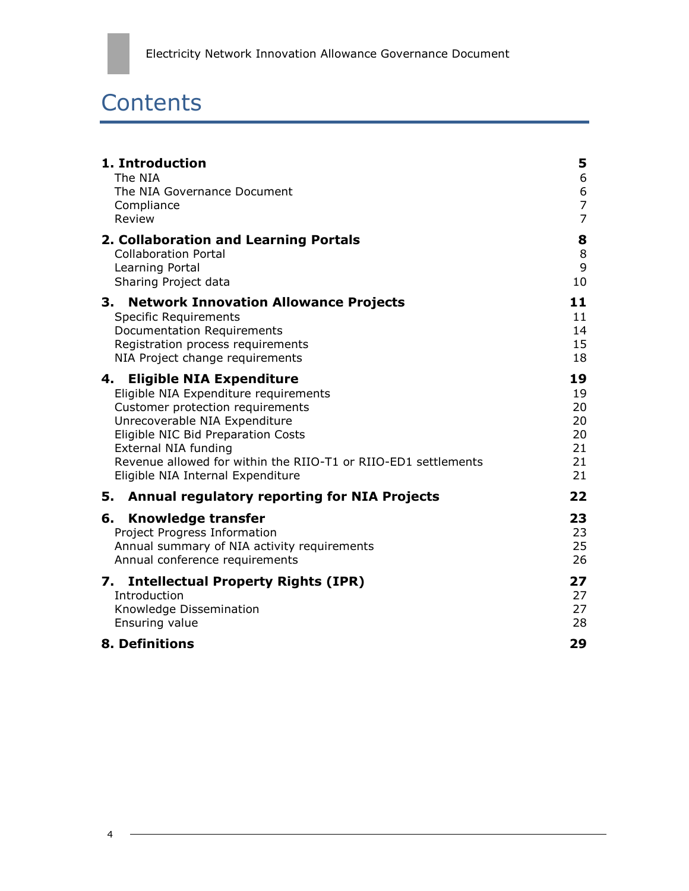## **Contents**

| 1. Introduction<br>The NIA                                                                          | 5<br>6                           |
|-----------------------------------------------------------------------------------------------------|----------------------------------|
| The NIA Governance Document                                                                         | 6                                |
| Compliance<br>Review                                                                                | $\overline{7}$<br>$\overline{7}$ |
| 2. Collaboration and Learning Portals                                                               | 8                                |
| <b>Collaboration Portal</b>                                                                         | 8                                |
| Learning Portal<br>Sharing Project data                                                             | 9<br>10                          |
| 3. Network Innovation Allowance Projects                                                            | 11                               |
| <b>Specific Requirements</b><br><b>Documentation Requirements</b>                                   | 11<br>14                         |
| Registration process requirements                                                                   | 15                               |
| NIA Project change requirements                                                                     | 18                               |
| <b>Eligible NIA Expenditure</b><br>4.                                                               | 19                               |
| Eligible NIA Expenditure requirements                                                               | 19                               |
| Customer protection requirements<br>Unrecoverable NIA Expenditure                                   | 20<br>20                         |
| Eligible NIC Bid Preparation Costs                                                                  | 20                               |
| External NIA funding                                                                                | 21                               |
| Revenue allowed for within the RIIO-T1 or RIIO-ED1 settlements<br>Eligible NIA Internal Expenditure | 21<br>21                         |
| 5. Annual regulatory reporting for NIA Projects                                                     | 22                               |
| Knowledge transfer<br>6.                                                                            | 23                               |
| Project Progress Information                                                                        | 23                               |
| Annual summary of NIA activity requirements<br>Annual conference requirements                       | 25<br>26                         |
| <b>Intellectual Property Rights (IPR)</b><br>7.                                                     | 27                               |
| Introduction                                                                                        | 27                               |
| Knowledge Dissemination                                                                             | 27                               |
| Ensuring value                                                                                      | 28                               |
| 8. Definitions                                                                                      | 29                               |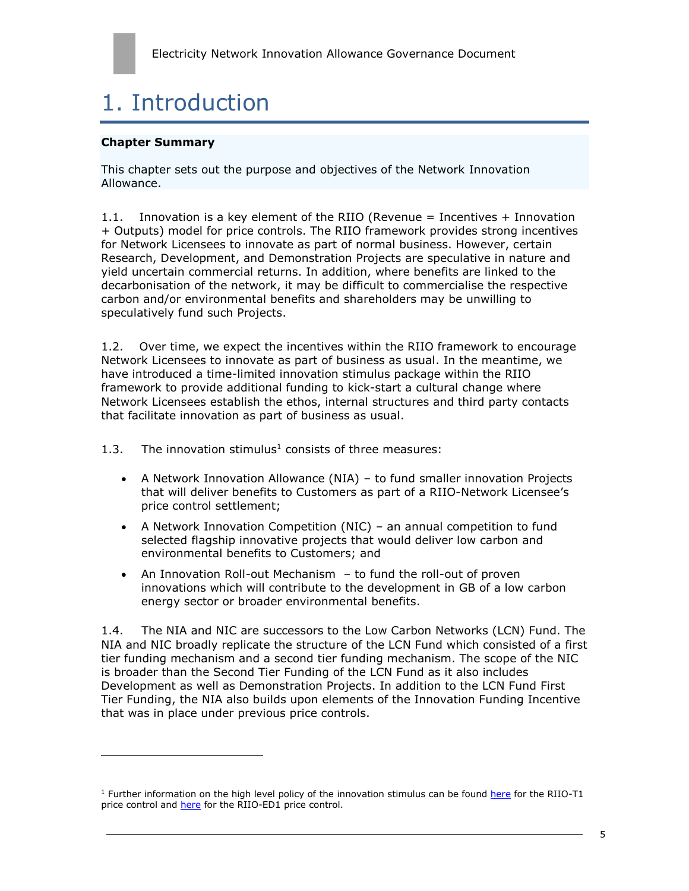## 1. Introduction

#### **Chapter Summary**

l

This chapter sets out the purpose and objectives of the Network Innovation Allowance.

1.1. Innovation is a key element of the RIIO (Revenue = Incentives + Innovation + Outputs) model for price controls. The RIIO framework provides strong incentives for Network Licensees to innovate as part of normal business. However, certain Research, Development, and Demonstration Projects are speculative in nature and yield uncertain commercial returns. In addition, where benefits are linked to the decarbonisation of the network, it may be difficult to commercialise the respective carbon and/or environmental benefits and shareholders may be unwilling to speculatively fund such Projects.

1.2. Over time, we expect the incentives within the RIIO framework to encourage Network Licensees to innovate as part of business as usual. In the meantime, we have introduced a time-limited innovation stimulus package within the RIIO framework to provide additional funding to kick-start a cultural change where Network Licensees establish the ethos, internal structures and third party contacts that facilitate innovation as part of business as usual.

1.3. The innovation stimulus<sup>1</sup> consists of three measures:

- A Network Innovation Allowance (NIA) to fund smaller innovation Projects that will deliver benefits to Customers as part of a RIIO-Network Licensee's price control settlement;
- A Network Innovation Competition (NIC) an annual competition to fund selected flagship innovative projects that would deliver low carbon and environmental benefits to Customers; and
- An Innovation Roll-out Mechanism to fund the roll-out of proven innovations which will contribute to the development in GB of a low carbon energy sector or broader environmental benefits.

1.4. The NIA and NIC are successors to the Low Carbon Networks (LCN) Fund. The NIA and NIC broadly replicate the structure of the LCN Fund which consisted of a first tier funding mechanism and a second tier funding mechanism. The scope of the NIC is broader than the Second Tier Funding of the LCN Fund as it also includes Development as well as Demonstration Projects. In addition to the LCN Fund First Tier Funding, the NIA also builds upon elements of the Innovation Funding Incentive that was in place under previous price controls.

 $1$  Further information on the high level policy of the innovation stimulus can be found [here](http://www.ofgem.gov.uk/Pages/MoreInformation.aspx?docid=77&refer=Networks/Trans/PriceControls/RIIO-T1/ConRes) for the RIIO-T1 price control and [here](https://www.ofgem.gov.uk/publications-and-updates/strategy-decision-riio-ed1-overview) for the RIIO-ED1 price control.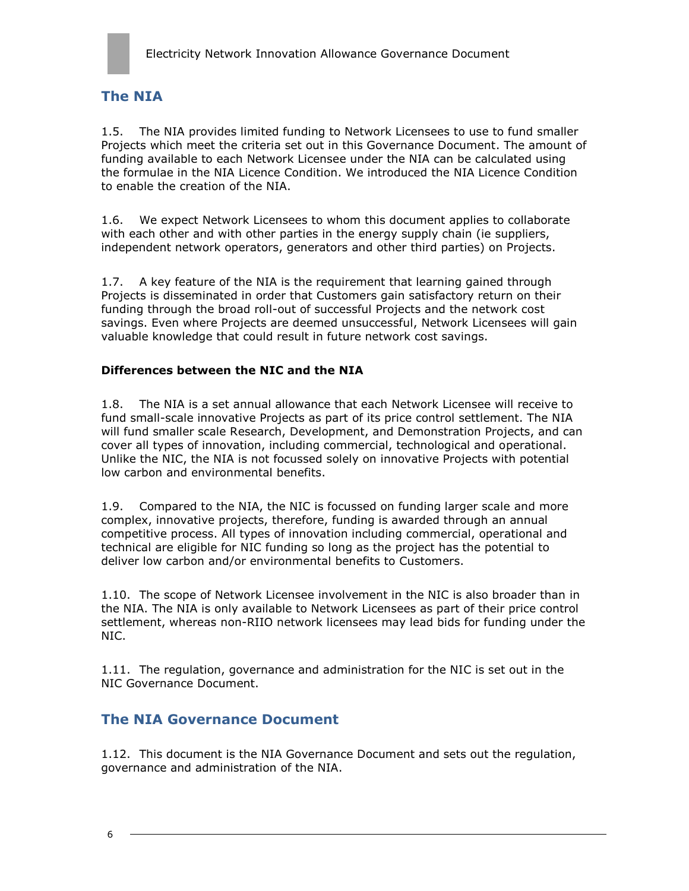## **The NIA**

1.5. The NIA provides limited funding to Network Licensees to use to fund smaller Projects which meet the criteria set out in this Governance Document. The amount of funding available to each Network Licensee under the NIA can be calculated using the formulae in the NIA Licence Condition. We introduced the NIA Licence Condition to enable the creation of the NIA.

1.6. We expect Network Licensees to whom this document applies to collaborate with each other and with other parties in the energy supply chain (ie suppliers, independent network operators, generators and other third parties) on Projects.

1.7. A key feature of the NIA is the requirement that learning gained through Projects is disseminated in order that Customers gain satisfactory return on their funding through the broad roll-out of successful Projects and the network cost savings. Even where Projects are deemed unsuccessful, Network Licensees will gain valuable knowledge that could result in future network cost savings.

#### **Differences between the NIC and the NIA**

1.8. The NIA is a set annual allowance that each Network Licensee will receive to fund small-scale innovative Projects as part of its price control settlement. The NIA will fund smaller scale Research, Development, and Demonstration Projects, and can cover all types of innovation, including commercial, technological and operational. Unlike the NIC, the NIA is not focussed solely on innovative Projects with potential low carbon and environmental benefits.

1.9. Compared to the NIA, the NIC is focussed on funding larger scale and more complex, innovative projects, therefore, funding is awarded through an annual competitive process. All types of innovation including commercial, operational and technical are eligible for NIC funding so long as the project has the potential to deliver low carbon and/or environmental benefits to Customers.

1.10. The scope of Network Licensee involvement in the NIC is also broader than in the NIA. The NIA is only available to Network Licensees as part of their price control settlement, whereas non-RIIO network licensees may lead bids for funding under the NIC.

1.11. The regulation, governance and administration for the NIC is set out in the NIC Governance Document.

## **The NIA Governance Document**

1.12. This document is the NIA Governance Document and sets out the regulation, governance and administration of the NIA.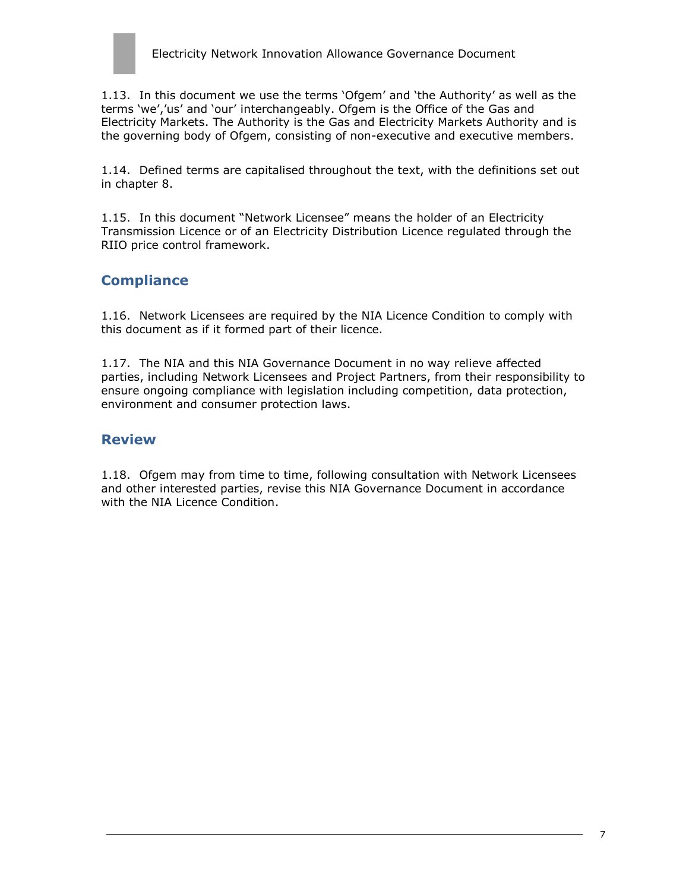

1.13. In this document we use the terms 'Ofgem' and 'the Authority' as well as the terms 'we','us' and 'our' interchangeably. Ofgem is the Office of the Gas and Electricity Markets. The Authority is the Gas and Electricity Markets Authority and is the governing body of Ofgem, consisting of non-executive and executive members.

1.14. Defined terms are capitalised throughout the text, with the definitions set out in chapter 8.

1.15. In this document "Network Licensee" means the holder of an Electricity Transmission Licence or of an Electricity Distribution Licence regulated through the RIIO price control framework.

## **Compliance**

1.16. Network Licensees are required by the NIA Licence Condition to comply with this document as if it formed part of their licence.

1.17. The NIA and this NIA Governance Document in no way relieve affected parties, including Network Licensees and Project Partners, from their responsibility to ensure ongoing compliance with legislation including competition, data protection, environment and consumer protection laws.

## **Review**

1.18. Ofgem may from time to time, following consultation with Network Licensees and other interested parties, revise this NIA Governance Document in accordance with the NIA Licence Condition.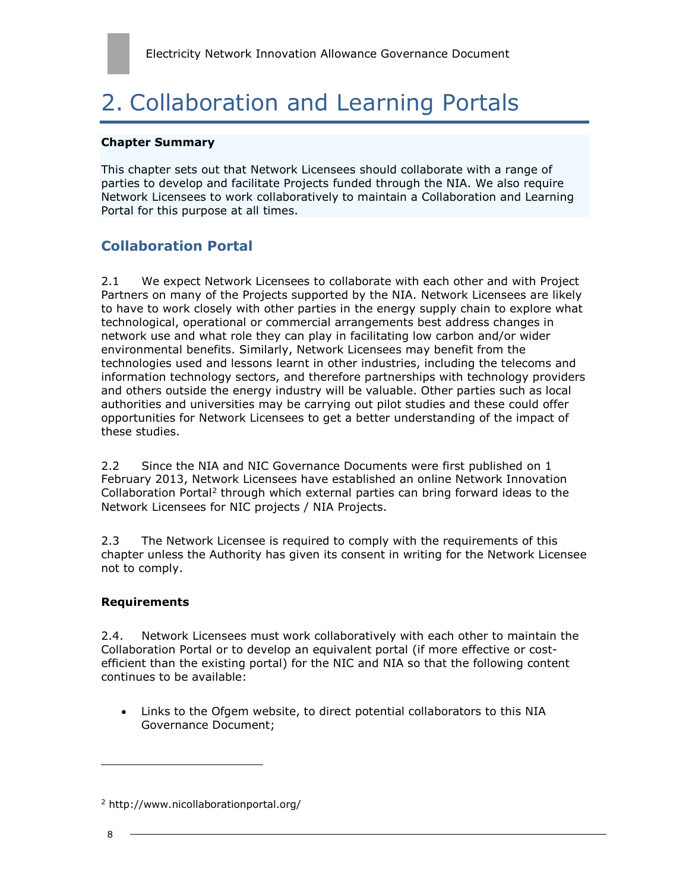# 2. Collaboration and Learning Portals

#### **Chapter Summary**

This chapter sets out that Network Licensees should collaborate with a range of parties to develop and facilitate Projects funded through the NIA. We also require Network Licensees to work collaboratively to maintain a Collaboration and Learning Portal for this purpose at all times.

## **Collaboration Portal**

2.1 We expect Network Licensees to collaborate with each other and with Project Partners on many of the Projects supported by the NIA. Network Licensees are likely to have to work closely with other parties in the energy supply chain to explore what technological, operational or commercial arrangements best address changes in network use and what role they can play in facilitating low carbon and/or wider environmental benefits. Similarly, Network Licensees may benefit from the technologies used and lessons learnt in other industries, including the telecoms and information technology sectors, and therefore partnerships with technology providers and others outside the energy industry will be valuable. Other parties such as local authorities and universities may be carrying out pilot studies and these could offer opportunities for Network Licensees to get a better understanding of the impact of these studies.

2.2 Since the NIA and NIC Governance Documents were first published on 1 February 2013, Network Licensees have established an online Network Innovation Collaboration Portal<sup>2</sup> through which external parties can bring forward ideas to the Network Licensees for NIC projects / NIA Projects.

2.3 The Network Licensee is required to comply with the requirements of this chapter unless the Authority has given its consent in writing for the Network Licensee not to comply.

#### **Requirements**

2.4. Network Licensees must work collaboratively with each other to maintain the Collaboration Portal or to develop an equivalent portal (if more effective or costefficient than the existing portal) for the NIC and NIA so that the following content continues to be available:

 Links to the Ofgem website, to direct potential collaborators to this NIA Governance Document;

ł

<sup>2</sup> http://www.nicollaborationportal.org/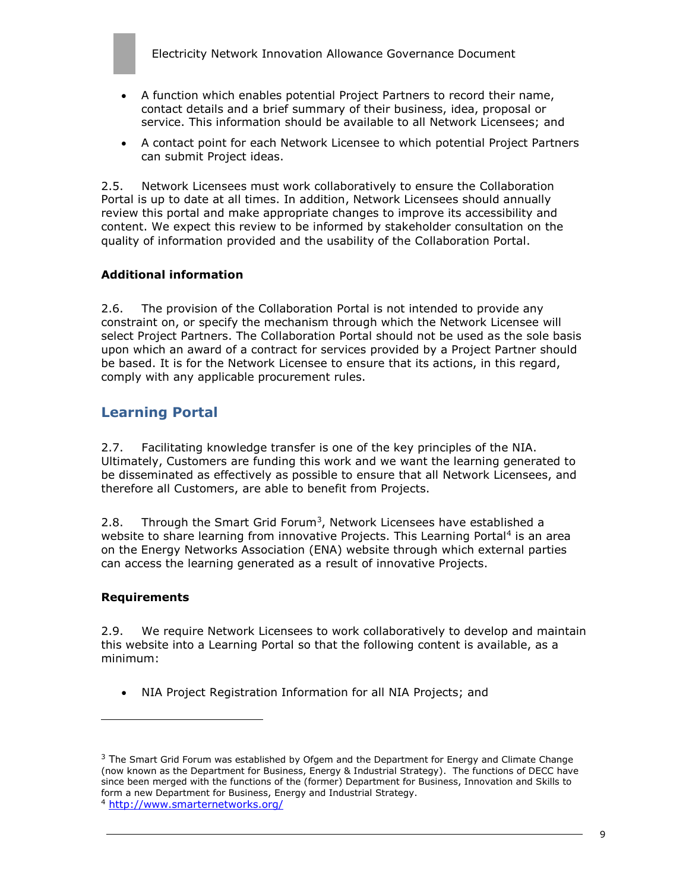- A function which enables potential Project Partners to record their name, contact details and a brief summary of their business, idea, proposal or service. This information should be available to all Network Licensees; and
- A contact point for each Network Licensee to which potential Project Partners can submit Project ideas.

2.5. Network Licensees must work collaboratively to ensure the Collaboration Portal is up to date at all times. In addition, Network Licensees should annually review this portal and make appropriate changes to improve its accessibility and content. We expect this review to be informed by stakeholder consultation on the quality of information provided and the usability of the Collaboration Portal.

#### **Additional information**

2.6. The provision of the Collaboration Portal is not intended to provide any constraint on, or specify the mechanism through which the Network Licensee will select Project Partners. The Collaboration Portal should not be used as the sole basis upon which an award of a contract for services provided by a Project Partner should be based. It is for the Network Licensee to ensure that its actions, in this regard, comply with any applicable procurement rules.

## **Learning Portal**

2.7. Facilitating knowledge transfer is one of the key principles of the NIA. Ultimately, Customers are funding this work and we want the learning generated to be disseminated as effectively as possible to ensure that all Network Licensees, and therefore all Customers, are able to benefit from Projects.

2.8. Through the Smart Grid Forum<sup>3</sup>, Network Licensees have established a website to share learning from innovative Projects. This Learning Portal<sup>4</sup> is an area on the Energy Networks Association (ENA) website through which external parties can access the learning generated as a result of innovative Projects.

#### **Requirements**

ł

2.9. We require Network Licensees to work collaboratively to develop and maintain this website into a Learning Portal so that the following content is available, as a minimum:

NIA Project Registration Information for all NIA Projects; and

 $3$  The Smart Grid Forum was established by Ofgem and the Department for Energy and Climate Change (now known as the Department for Business, Energy & Industrial Strategy). The functions of DECC have since been merged with the functions of the (former) Department for Business, Innovation and Skills to form a new Department for Business, Energy and Industrial Strategy.

<sup>4</sup> <http://www.smarternetworks.org/>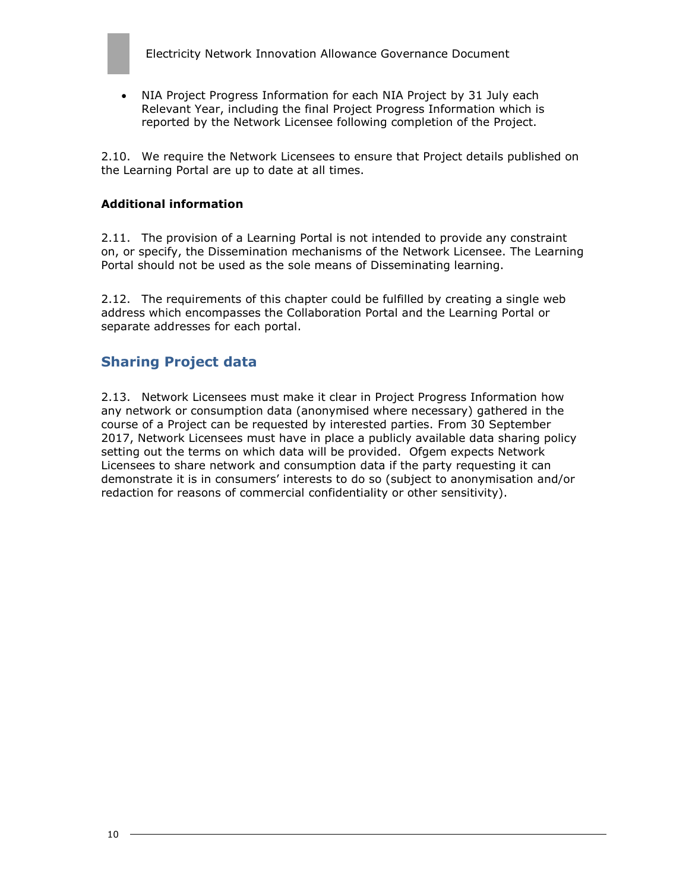• NIA Project Progress Information for each NIA Project by 31 July each Relevant Year, including the final Project Progress Information which is reported by the Network Licensee following completion of the Project.

2.10. We require the Network Licensees to ensure that Project details published on the Learning Portal are up to date at all times.

#### **Additional information**

2.11. The provision of a Learning Portal is not intended to provide any constraint on, or specify, the Dissemination mechanisms of the Network Licensee. The Learning Portal should not be used as the sole means of Disseminating learning.

2.12. The requirements of this chapter could be fulfilled by creating a single web address which encompasses the Collaboration Portal and the Learning Portal or separate addresses for each portal.

## **Sharing Project data**

2.13. Network Licensees must make it clear in Project Progress Information how any network or consumption data (anonymised where necessary) gathered in the course of a Project can be requested by interested parties. From 30 September 2017, Network Licensees must have in place a publicly available data sharing policy setting out the terms on which data will be provided. Ofgem expects Network Licensees to share network and consumption data if the party requesting it can demonstrate it is in consumers' interests to do so (subject to anonymisation and/or redaction for reasons of commercial confidentiality or other sensitivity).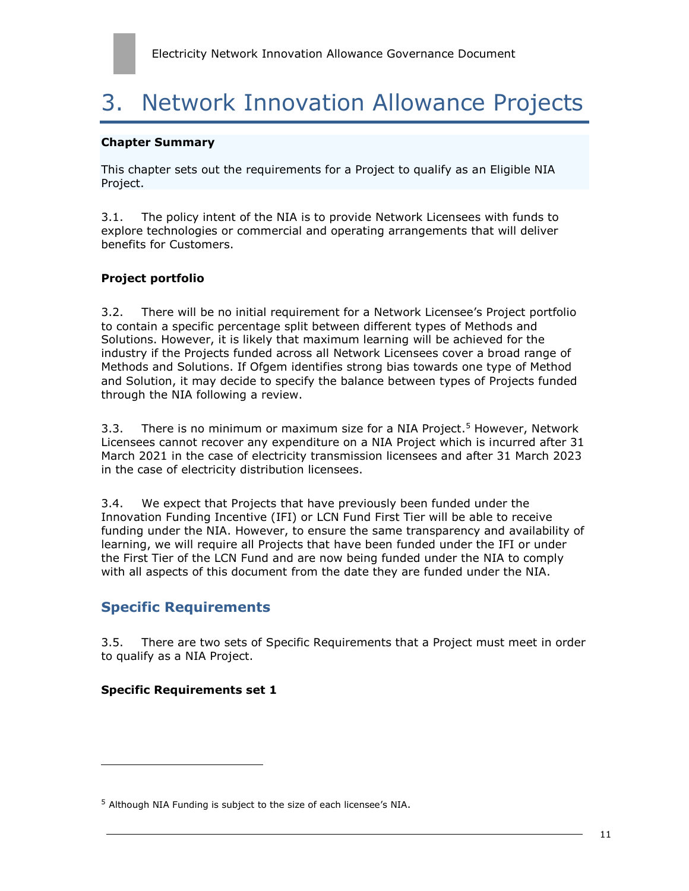# 3. Network Innovation Allowance Projects

#### **Chapter Summary**

This chapter sets out the requirements for a Project to qualify as an Eligible NIA Project.

3.1. The policy intent of the NIA is to provide Network Licensees with funds to explore technologies or commercial and operating arrangements that will deliver benefits for Customers.

#### **Project portfolio**

3.2. There will be no initial requirement for a Network Licensee's Project portfolio to contain a specific percentage split between different types of Methods and Solutions. However, it is likely that maximum learning will be achieved for the industry if the Projects funded across all Network Licensees cover a broad range of Methods and Solutions. If Ofgem identifies strong bias towards one type of Method and Solution, it may decide to specify the balance between types of Projects funded through the NIA following a review.

3.3. There is no minimum or maximum size for a NIA Project. <sup>5</sup> However, Network Licensees cannot recover any expenditure on a NIA Project which is incurred after 31 March 2021 in the case of electricity transmission licensees and after 31 March 2023 in the case of electricity distribution licensees.

3.4. We expect that Projects that have previously been funded under the Innovation Funding Incentive (IFI) or LCN Fund First Tier will be able to receive funding under the NIA. However, to ensure the same transparency and availability of learning, we will require all Projects that have been funded under the IFI or under the First Tier of the LCN Fund and are now being funded under the NIA to comply with all aspects of this document from the date they are funded under the NIA.

## **Specific Requirements**

3.5. There are two sets of Specific Requirements that a Project must meet in order to qualify as a NIA Project.

#### **Specific Requirements set 1**

ł

<sup>&</sup>lt;sup>5</sup> Although NIA Funding is subject to the size of each licensee's NIA.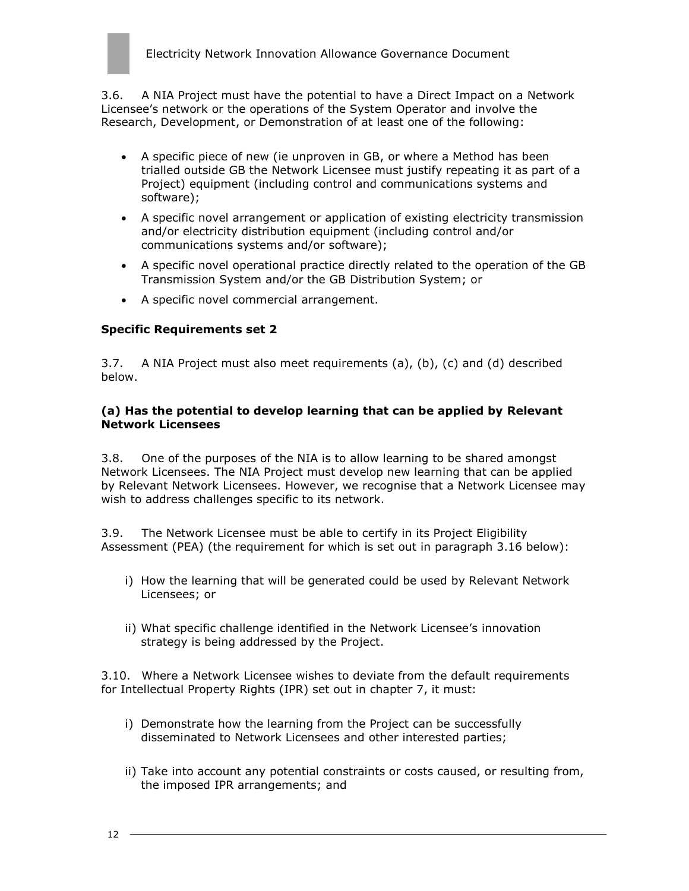

3.6. A NIA Project must have the potential to have a Direct Impact on a Network Licensee's network or the operations of the System Operator and involve the Research, Development, or Demonstration of at least one of the following:

- A specific piece of new (ie unproven in GB, or where a Method has been trialled outside GB the Network Licensee must justify repeating it as part of a Project) equipment (including control and communications systems and software);
- A specific novel arrangement or application of existing electricity transmission and/or electricity distribution equipment (including control and/or communications systems and/or software);
- A specific novel operational practice directly related to the operation of the GB Transmission System and/or the GB Distribution System; or
- A specific novel commercial arrangement.

#### **Specific Requirements set 2**

3.7. A NIA Project must also meet requirements (a), (b), (c) and (d) described below.

#### **(a) Has the potential to develop learning that can be applied by Relevant Network Licensees**

3.8. One of the purposes of the NIA is to allow learning to be shared amongst Network Licensees. The NIA Project must develop new learning that can be applied by Relevant Network Licensees. However, we recognise that a Network Licensee may wish to address challenges specific to its network.

3.9. The Network Licensee must be able to certify in its Project Eligibility Assessment (PEA) (the requirement for which is set out in paragraph 3.16 below):

- i) How the learning that will be generated could be used by Relevant Network Licensees; or
- ii) What specific challenge identified in the Network Licensee's innovation strategy is being addressed by the Project.

3.10. Where a Network Licensee wishes to deviate from the default requirements for Intellectual Property Rights (IPR) set out in chapter 7, it must:

- i) Demonstrate how the learning from the Project can be successfully disseminated to Network Licensees and other interested parties;
- ii) Take into account any potential constraints or costs caused, or resulting from, the imposed IPR arrangements; and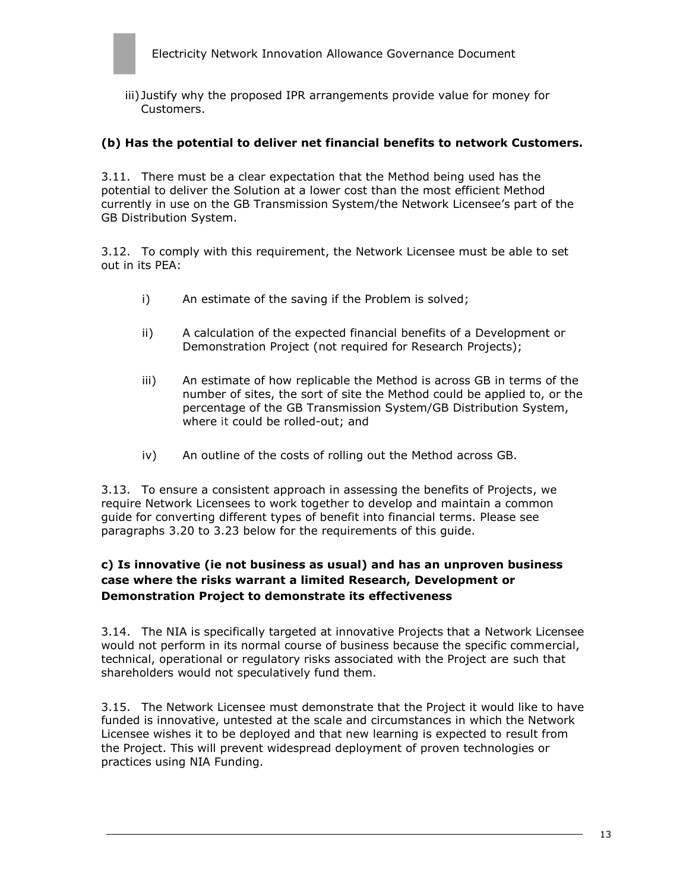

iii) Justify why the proposed IPR arrangements provide value for money for Customers.

#### **(b) Has the potential to deliver net financial benefits to network Customers.**

3.11. There must be a clear expectation that the Method being used has the potential to deliver the Solution at a lower cost than the most efficient Method currently in use on the GB Transmission System/the Network Licensee's part of the GB Distribution System.

3.12. To comply with this requirement, the Network Licensee must be able to set out in its PEA:

- i) An estimate of the saving if the Problem is solved;
- ii) A calculation of the expected financial benefits of a Development or Demonstration Project (not required for Research Projects);
- iii) An estimate of how replicable the Method is across GB in terms of the number of sites, the sort of site the Method could be applied to, or the percentage of the GB Transmission System/GB Distribution System, where it could be rolled-out; and
- iv) An outline of the costs of rolling out the Method across GB.

3.13. To ensure a consistent approach in assessing the benefits of Projects, we require Network Licensees to work together to develop and maintain a common guide for converting different types of benefit into financial terms. Please see paragraphs 3.20 to 3.23 below for the requirements of this guide.

#### **c) Is innovative (ie not business as usual) and has an unproven business case where the risks warrant a limited Research, Development or Demonstration Project to demonstrate its effectiveness**

3.14. The NIA is specifically targeted at innovative Projects that a Network Licensee would not perform in its normal course of business because the specific commercial, technical, operational or regulatory risks associated with the Project are such that shareholders would not speculatively fund them.

3.15. The Network Licensee must demonstrate that the Project it would like to have funded is innovative, untested at the scale and circumstances in which the Network Licensee wishes it to be deployed and that new learning is expected to result from the Project. This will prevent widespread deployment of proven technologies or practices using NIA Funding.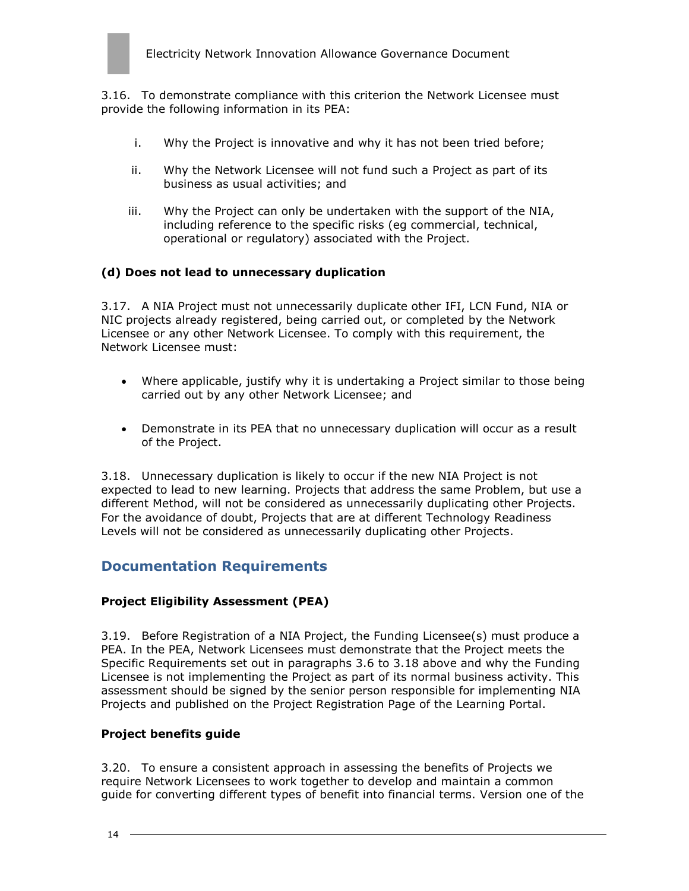

3.16. To demonstrate compliance with this criterion the Network Licensee must provide the following information in its PEA:

- i. Why the Project is innovative and why it has not been tried before;
- ii. Why the Network Licensee will not fund such a Project as part of its business as usual activities; and
- iii. Why the Project can only be undertaken with the support of the NIA, including reference to the specific risks (eg commercial, technical, operational or regulatory) associated with the Project.

#### **(d) Does not lead to unnecessary duplication**

3.17. A NIA Project must not unnecessarily duplicate other IFI, LCN Fund, NIA or NIC projects already registered, being carried out, or completed by the Network Licensee or any other Network Licensee. To comply with this requirement, the Network Licensee must:

- Where applicable, justify why it is undertaking a Project similar to those being carried out by any other Network Licensee; and
- Demonstrate in its PEA that no unnecessary duplication will occur as a result of the Project.

3.18. Unnecessary duplication is likely to occur if the new NIA Project is not expected to lead to new learning. Projects that address the same Problem, but use a different Method, will not be considered as unnecessarily duplicating other Projects. For the avoidance of doubt, Projects that are at different Technology Readiness Levels will not be considered as unnecessarily duplicating other Projects.

### **Documentation Requirements**

#### **Project Eligibility Assessment (PEA)**

3.19. Before Registration of a NIA Project, the Funding Licensee(s) must produce a PEA. In the PEA, Network Licensees must demonstrate that the Project meets the Specific Requirements set out in paragraphs 3.6 to 3.18 above and why the Funding Licensee is not implementing the Project as part of its normal business activity. This assessment should be signed by the senior person responsible for implementing NIA Projects and published on the Project Registration Page of the Learning Portal.

#### **Project benefits guide**

3.20. To ensure a consistent approach in assessing the benefits of Projects we require Network Licensees to work together to develop and maintain a common guide for converting different types of benefit into financial terms. Version one of the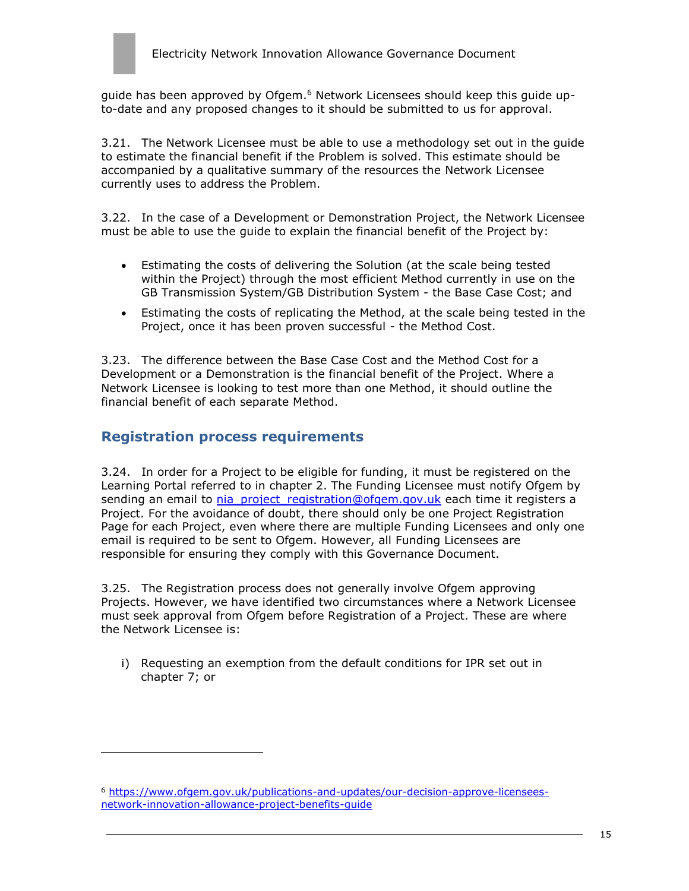guide has been approved by Ofgem.<sup>6</sup> Network Licensees should keep this guide upto-date and any proposed changes to it should be submitted to us for approval.

3.21. The Network Licensee must be able to use a methodology set out in the guide to estimate the financial benefit if the Problem is solved. This estimate should be accompanied by a qualitative summary of the resources the Network Licensee currently uses to address the Problem.

3.22. In the case of a Development or Demonstration Project, the Network Licensee must be able to use the guide to explain the financial benefit of the Project by:

- Estimating the costs of delivering the Solution (at the scale being tested within the Project) through the most efficient Method currently in use on the GB Transmission System/GB Distribution System - the Base Case Cost; and
- Estimating the costs of replicating the Method, at the scale being tested in the Project, once it has been proven successful - the Method Cost.

3.23. The difference between the Base Case Cost and the Method Cost for a Development or a Demonstration is the financial benefit of the Project. Where a Network Licensee is looking to test more than one Method, it should outline the financial benefit of each separate Method.

### **Registration process requirements**

j.

3.24. In order for a Project to be eligible for funding, it must be registered on the Learning Portal referred to in chapter 2. The Funding Licensee must notify Ofgem by sending an email to [nia\\_project\\_registration@ofgem.gov.uk](mailto:nia_project_registration@ofgem.gov.uk) each time it registers a Project. For the avoidance of doubt, there should only be one Project Registration Page for each Project, even where there are multiple Funding Licensees and only one email is required to be sent to Ofgem. However, all Funding Licensees are responsible for ensuring they comply with this Governance Document.

3.25. The Registration process does not generally involve Ofgem approving Projects. However, we have identified two circumstances where a Network Licensee must seek approval from Ofgem before Registration of a Project. These are where the Network Licensee is:

i) Requesting an exemption from the default conditions for IPR set out in chapter 7; or

<sup>6</sup> [https://www.ofgem.gov.uk/publications-and-updates/our-decision-approve-licensees](https://www.ofgem.gov.uk/publications-and-updates/our-decision-approve-licensees-network-innovation-allowance-project-benefits-guide)[network-innovation-allowance-project-benefits-guide](https://www.ofgem.gov.uk/publications-and-updates/our-decision-approve-licensees-network-innovation-allowance-project-benefits-guide)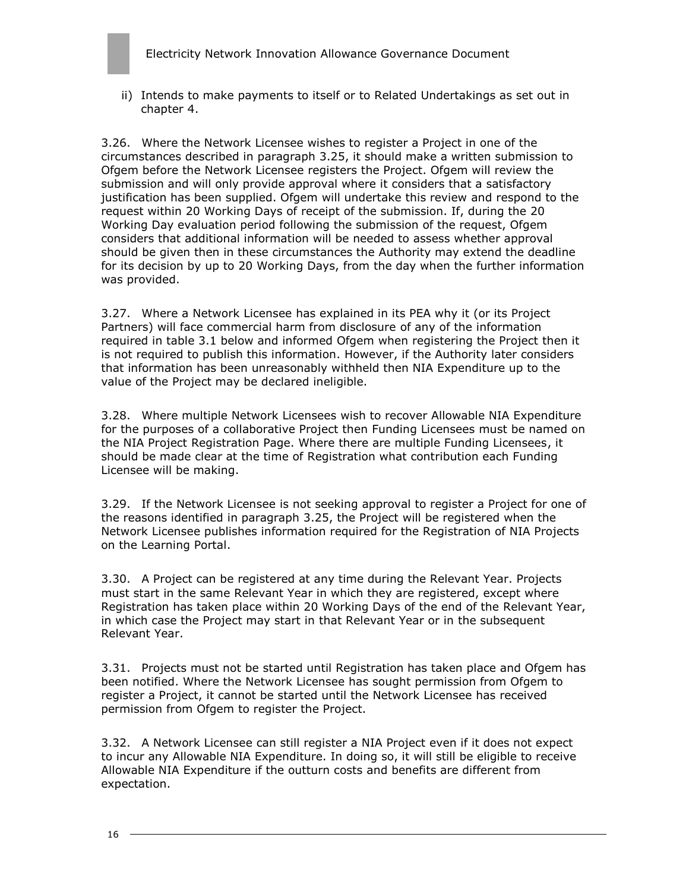

ii) Intends to make payments to itself or to Related Undertakings as set out in chapter 4.

3.26. Where the Network Licensee wishes to register a Project in one of the circumstances described in paragraph 3.25, it should make a written submission to Ofgem before the Network Licensee registers the Project. Ofgem will review the submission and will only provide approval where it considers that a satisfactory justification has been supplied. Ofgem will undertake this review and respond to the request within 20 Working Days of receipt of the submission. If, during the 20 Working Day evaluation period following the submission of the request, Ofgem considers that additional information will be needed to assess whether approval should be given then in these circumstances the Authority may extend the deadline for its decision by up to 20 Working Days, from the day when the further information was provided.

3.27. Where a Network Licensee has explained in its PEA why it (or its Project Partners) will face commercial harm from disclosure of any of the information required in table 3.1 below and informed Ofgem when registering the Project then it is not required to publish this information. However, if the Authority later considers that information has been unreasonably withheld then NIA Expenditure up to the value of the Project may be declared ineligible.

3.28. Where multiple Network Licensees wish to recover Allowable NIA Expenditure for the purposes of a collaborative Project then Funding Licensees must be named on the NIA Project Registration Page. Where there are multiple Funding Licensees, it should be made clear at the time of Registration what contribution each Funding Licensee will be making.

3.29. If the Network Licensee is not seeking approval to register a Project for one of the reasons identified in paragraph 3.25, the Project will be registered when the Network Licensee publishes information required for the Registration of NIA Projects on the Learning Portal.

3.30. A Project can be registered at any time during the Relevant Year. Projects must start in the same Relevant Year in which they are registered, except where Registration has taken place within 20 Working Days of the end of the Relevant Year, in which case the Project may start in that Relevant Year or in the subsequent Relevant Year.

3.31. Projects must not be started until Registration has taken place and Ofgem has been notified. Where the Network Licensee has sought permission from Ofgem to register a Project, it cannot be started until the Network Licensee has received permission from Ofgem to register the Project.

3.32. A Network Licensee can still register a NIA Project even if it does not expect to incur any Allowable NIA Expenditure. In doing so, it will still be eligible to receive Allowable NIA Expenditure if the outturn costs and benefits are different from expectation.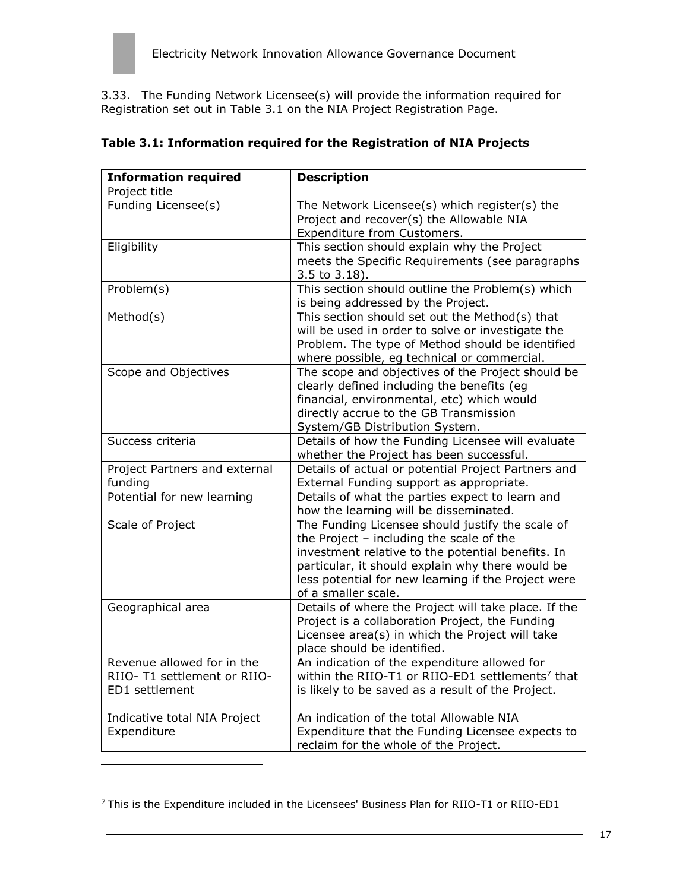3.33. The Funding Network Licensee(s) will provide the information required for Registration set out in Table 3.1 on the NIA Project Registration Page.

### **Table 3.1: Information required for the Registration of NIA Projects**

| <b>Information required</b>                                                 | <b>Description</b>                                                                                                                                                                                                                                                                  |
|-----------------------------------------------------------------------------|-------------------------------------------------------------------------------------------------------------------------------------------------------------------------------------------------------------------------------------------------------------------------------------|
| Project title                                                               |                                                                                                                                                                                                                                                                                     |
| Funding Licensee(s)                                                         | The Network Licensee(s) which register(s) the<br>Project and recover(s) the Allowable NIA<br>Expenditure from Customers.                                                                                                                                                            |
| Eligibility                                                                 | This section should explain why the Project<br>meets the Specific Requirements (see paragraphs<br>3.5 to 3.18).                                                                                                                                                                     |
| Problem(s)                                                                  | This section should outline the Problem(s) which<br>is being addressed by the Project.                                                                                                                                                                                              |
| Method(s)                                                                   | This section should set out the Method(s) that<br>will be used in order to solve or investigate the<br>Problem. The type of Method should be identified<br>where possible, eg technical or commercial.                                                                              |
| Scope and Objectives                                                        | The scope and objectives of the Project should be<br>clearly defined including the benefits (eg<br>financial, environmental, etc) which would<br>directly accrue to the GB Transmission<br>System/GB Distribution System.                                                           |
| Success criteria                                                            | Details of how the Funding Licensee will evaluate<br>whether the Project has been successful.                                                                                                                                                                                       |
| Project Partners and external<br>funding                                    | Details of actual or potential Project Partners and<br>External Funding support as appropriate.                                                                                                                                                                                     |
| Potential for new learning                                                  | Details of what the parties expect to learn and<br>how the learning will be disseminated.                                                                                                                                                                                           |
| Scale of Project                                                            | The Funding Licensee should justify the scale of<br>the Project - including the scale of the<br>investment relative to the potential benefits. In<br>particular, it should explain why there would be<br>less potential for new learning if the Project were<br>of a smaller scale. |
| Geographical area                                                           | Details of where the Project will take place. If the<br>Project is a collaboration Project, the Funding<br>Licensee area(s) in which the Project will take<br>place should be identified.                                                                                           |
| Revenue allowed for in the<br>RIIO-T1 settlement or RIIO-<br>ED1 settlement | An indication of the expenditure allowed for<br>within the RIIO-T1 or RIIO-ED1 settlements <sup>7</sup> that<br>is likely to be saved as a result of the Project.                                                                                                                   |
| Indicative total NIA Project<br>Expenditure                                 | An indication of the total Allowable NIA<br>Expenditure that the Funding Licensee expects to<br>reclaim for the whole of the Project.                                                                                                                                               |

<sup>7</sup> This is the Expenditure included in the Licensees' Business Plan for RIIO-T1 or RIIO-ED1

ł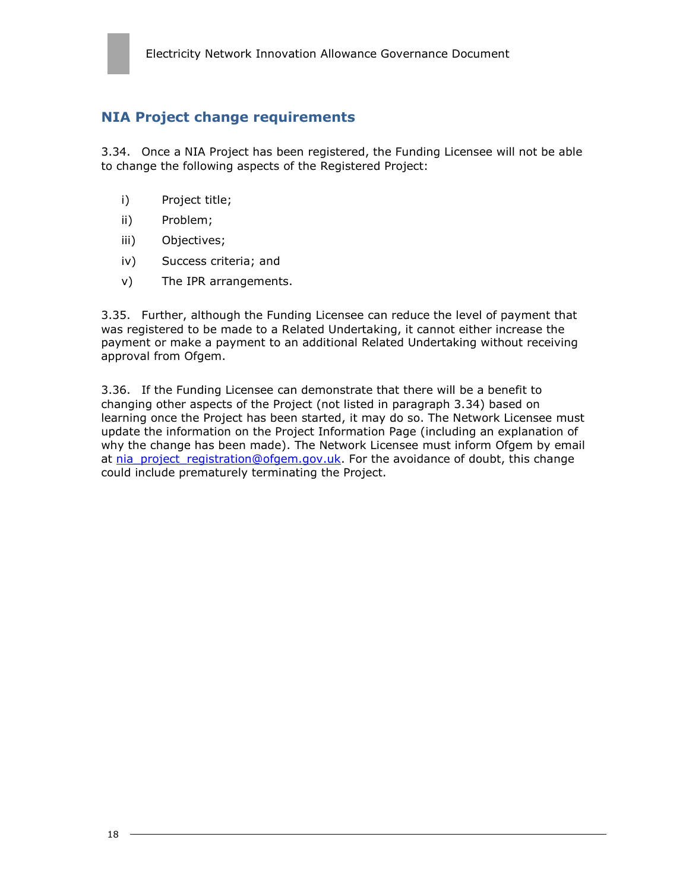## **NIA Project change requirements**

3.34. Once a NIA Project has been registered, the Funding Licensee will not be able to change the following aspects of the Registered Project:

- i) Project title;
- ii) Problem;
- iii) Objectives;
- iv) Success criteria; and
- v) The IPR arrangements.

3.35. Further, although the Funding Licensee can reduce the level of payment that was registered to be made to a Related Undertaking, it cannot either increase the payment or make a payment to an additional Related Undertaking without receiving approval from Ofgem.

3.36. If the Funding Licensee can demonstrate that there will be a benefit to changing other aspects of the Project (not listed in paragraph 3.34) based on learning once the Project has been started, it may do so. The Network Licensee must update the information on the Project Information Page (including an explanation of why the change has been made). The Network Licensee must inform Ofgem by email at [nia\\_project\\_registration@ofgem.gov.uk.](mailto:nia_project_registration@ofgem.gov.uk) For the avoidance of doubt, this change could include prematurely terminating the Project.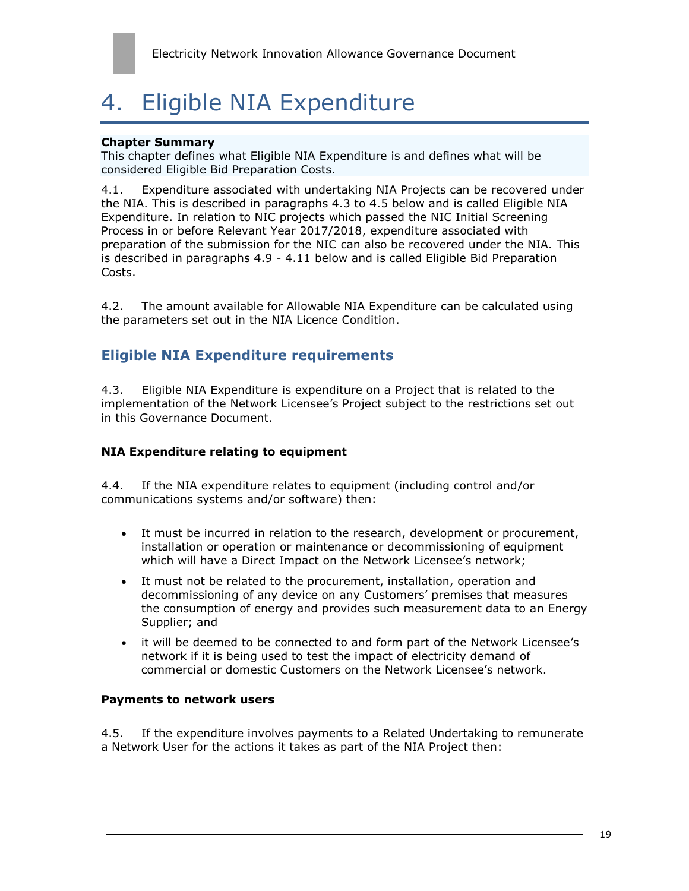# 4. Eligible NIA Expenditure

#### **Chapter Summary**

This chapter defines what Eligible NIA Expenditure is and defines what will be considered Eligible Bid Preparation Costs.

4.1. Expenditure associated with undertaking NIA Projects can be recovered under the NIA. This is described in paragraphs 4.3 to 4.5 below and is called Eligible NIA Expenditure. In relation to NIC projects which passed the NIC Initial Screening Process in or before Relevant Year 2017/2018, expenditure associated with preparation of the submission for the NIC can also be recovered under the NIA. This is described in paragraphs 4.9 - 4.11 below and is called Eligible Bid Preparation Costs.

4.2. The amount available for Allowable NIA Expenditure can be calculated using the parameters set out in the NIA Licence Condition.

## **Eligible NIA Expenditure requirements**

4.3. Eligible NIA Expenditure is expenditure on a Project that is related to the implementation of the Network Licensee's Project subject to the restrictions set out in this Governance Document.

#### **NIA Expenditure relating to equipment**

4.4. If the NIA expenditure relates to equipment (including control and/or communications systems and/or software) then:

- It must be incurred in relation to the research, development or procurement, installation or operation or maintenance or decommissioning of equipment which will have a Direct Impact on the Network Licensee's network;
- It must not be related to the procurement, installation, operation and decommissioning of any device on any Customers' premises that measures the consumption of energy and provides such measurement data to an Energy Supplier; and
- it will be deemed to be connected to and form part of the Network Licensee's network if it is being used to test the impact of electricity demand of commercial or domestic Customers on the Network Licensee's network.

#### **Payments to network users**

4.5. If the expenditure involves payments to a Related Undertaking to remunerate a Network User for the actions it takes as part of the NIA Project then: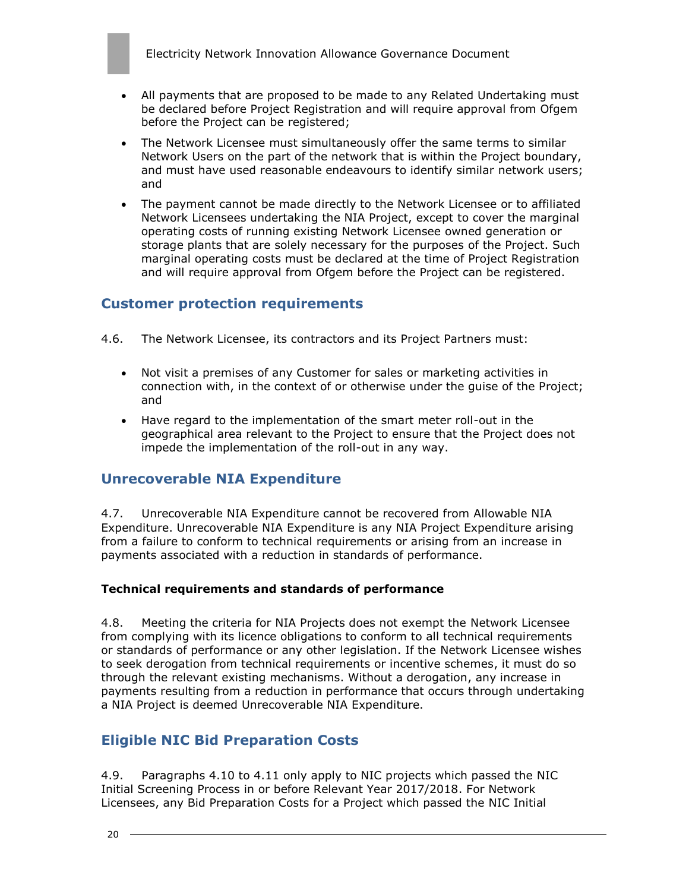

- All payments that are proposed to be made to any Related Undertaking must be declared before Project Registration and will require approval from Ofgem before the Project can be registered;
- The Network Licensee must simultaneously offer the same terms to similar Network Users on the part of the network that is within the Project boundary, and must have used reasonable endeavours to identify similar network users; and
- The payment cannot be made directly to the Network Licensee or to affiliated Network Licensees undertaking the NIA Project, except to cover the marginal operating costs of running existing Network Licensee owned generation or storage plants that are solely necessary for the purposes of the Project. Such marginal operating costs must be declared at the time of Project Registration and will require approval from Ofgem before the Project can be registered.

### **Customer protection requirements**

- 4.6. The Network Licensee, its contractors and its Project Partners must:
	- Not visit a premises of any Customer for sales or marketing activities in connection with, in the context of or otherwise under the guise of the Project; and
	- Have regard to the implementation of the smart meter roll-out in the geographical area relevant to the Project to ensure that the Project does not impede the implementation of the roll-out in any way.

## **Unrecoverable NIA Expenditure**

4.7. Unrecoverable NIA Expenditure cannot be recovered from Allowable NIA Expenditure. Unrecoverable NIA Expenditure is any NIA Project Expenditure arising from a failure to conform to technical requirements or arising from an increase in payments associated with a reduction in standards of performance.

#### **Technical requirements and standards of performance**

4.8. Meeting the criteria for NIA Projects does not exempt the Network Licensee from complying with its licence obligations to conform to all technical requirements or standards of performance or any other legislation. If the Network Licensee wishes to seek derogation from technical requirements or incentive schemes, it must do so through the relevant existing mechanisms. Without a derogation, any increase in payments resulting from a reduction in performance that occurs through undertaking a NIA Project is deemed Unrecoverable NIA Expenditure.

## **Eligible NIC Bid Preparation Costs**

4.9. Paragraphs 4.10 to 4.11 only apply to NIC projects which passed the NIC Initial Screening Process in or before Relevant Year 2017/2018. For Network Licensees, any Bid Preparation Costs for a Project which passed the NIC Initial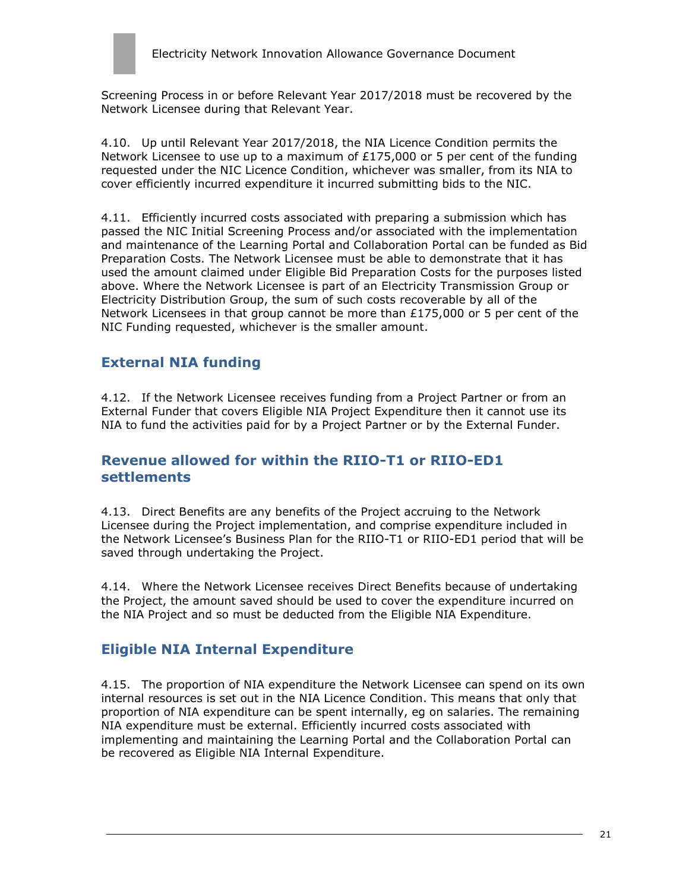

Screening Process in or before Relevant Year 2017/2018 must be recovered by the Network Licensee during that Relevant Year.

4.10. Up until Relevant Year 2017/2018, the NIA Licence Condition permits the Network Licensee to use up to a maximum of £175,000 or 5 per cent of the funding requested under the NIC Licence Condition, whichever was smaller, from its NIA to cover efficiently incurred expenditure it incurred submitting bids to the NIC.

4.11. Efficiently incurred costs associated with preparing a submission which has passed the NIC Initial Screening Process and/or associated with the implementation and maintenance of the Learning Portal and Collaboration Portal can be funded as Bid Preparation Costs. The Network Licensee must be able to demonstrate that it has used the amount claimed under Eligible Bid Preparation Costs for the purposes listed above. Where the Network Licensee is part of an Electricity Transmission Group or Electricity Distribution Group, the sum of such costs recoverable by all of the Network Licensees in that group cannot be more than  $£175,000$  or 5 per cent of the NIC Funding requested, whichever is the smaller amount.

## **External NIA funding**

4.12. If the Network Licensee receives funding from a Project Partner or from an External Funder that covers Eligible NIA Project Expenditure then it cannot use its NIA to fund the activities paid for by a Project Partner or by the External Funder.

## **Revenue allowed for within the RIIO-T1 or RIIO-ED1 settlements**

4.13. Direct Benefits are any benefits of the Project accruing to the Network Licensee during the Project implementation, and comprise expenditure included in the Network Licensee's Business Plan for the RIIO-T1 or RIIO-ED1 period that will be saved through undertaking the Project.

4.14. Where the Network Licensee receives Direct Benefits because of undertaking the Project, the amount saved should be used to cover the expenditure incurred on the NIA Project and so must be deducted from the Eligible NIA Expenditure.

## **Eligible NIA Internal Expenditure**

4.15. The proportion of NIA expenditure the Network Licensee can spend on its own internal resources is set out in the NIA Licence Condition. This means that only that proportion of NIA expenditure can be spent internally, eg on salaries. The remaining NIA expenditure must be external. Efficiently incurred costs associated with implementing and maintaining the Learning Portal and the Collaboration Portal can be recovered as Eligible NIA Internal Expenditure.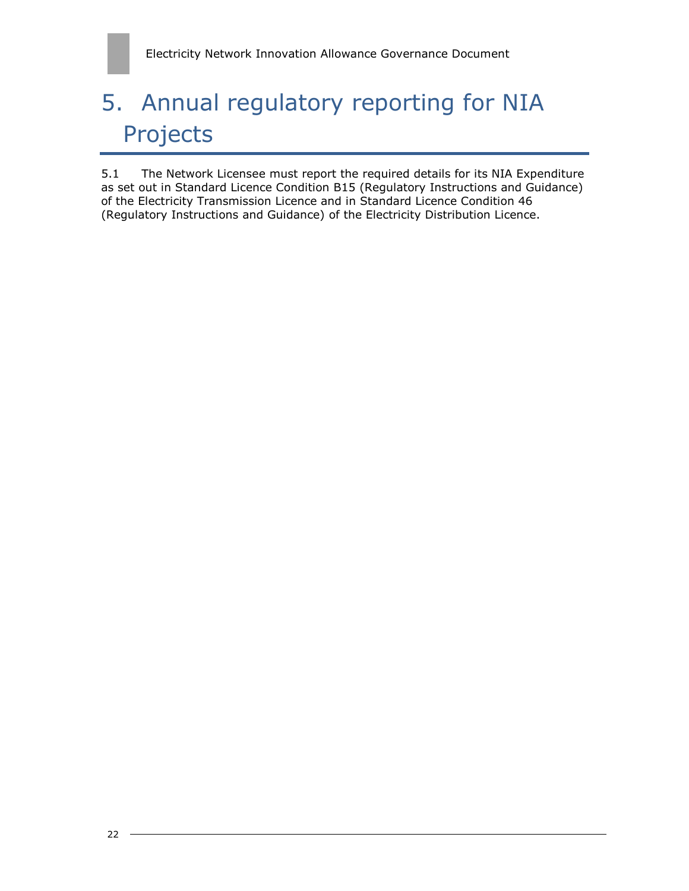# 5. Annual regulatory reporting for NIA Projects

5.1 The Network Licensee must report the required details for its NIA Expenditure as set out in Standard Licence Condition B15 (Regulatory Instructions and Guidance) of the Electricity Transmission Licence and in Standard Licence Condition 46 (Regulatory Instructions and Guidance) of the Electricity Distribution Licence.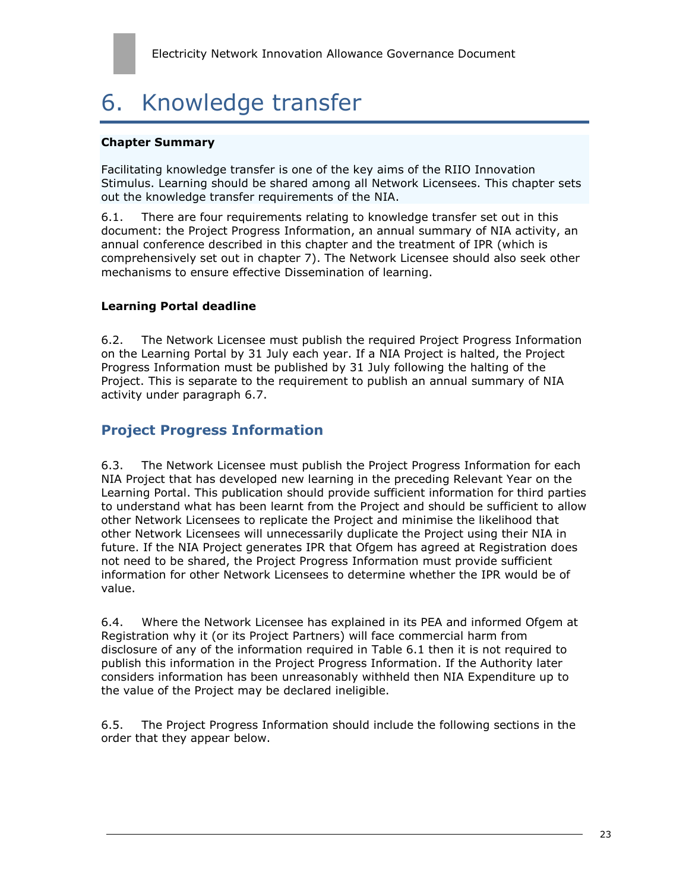# 6. Knowledge transfer

#### **Chapter Summary**

Facilitating knowledge transfer is one of the key aims of the RIIO Innovation Stimulus. Learning should be shared among all Network Licensees. This chapter sets out the knowledge transfer requirements of the NIA.

6.1. There are four requirements relating to knowledge transfer set out in this document: the Project Progress Information, an annual summary of NIA activity, an annual conference described in this chapter and the treatment of IPR (which is comprehensively set out in chapter 7). The Network Licensee should also seek other mechanisms to ensure effective Dissemination of learning.

#### **Learning Portal deadline**

6.2. The Network Licensee must publish the required Project Progress Information on the Learning Portal by 31 July each year. If a NIA Project is halted, the Project Progress Information must be published by 31 July following the halting of the Project. This is separate to the requirement to publish an annual summary of NIA activity under paragraph 6.7.

## **Project Progress Information**

6.3. The Network Licensee must publish the Project Progress Information for each NIA Project that has developed new learning in the preceding Relevant Year on the Learning Portal. This publication should provide sufficient information for third parties to understand what has been learnt from the Project and should be sufficient to allow other Network Licensees to replicate the Project and minimise the likelihood that other Network Licensees will unnecessarily duplicate the Project using their NIA in future. If the NIA Project generates IPR that Ofgem has agreed at Registration does not need to be shared, the Project Progress Information must provide sufficient information for other Network Licensees to determine whether the IPR would be of value.

6.4. Where the Network Licensee has explained in its PEA and informed Ofgem at Registration why it (or its Project Partners) will face commercial harm from disclosure of any of the information required in Table 6.1 then it is not required to publish this information in the Project Progress Information. If the Authority later considers information has been unreasonably withheld then NIA Expenditure up to the value of the Project may be declared ineligible.

6.5. The Project Progress Information should include the following sections in the order that they appear below.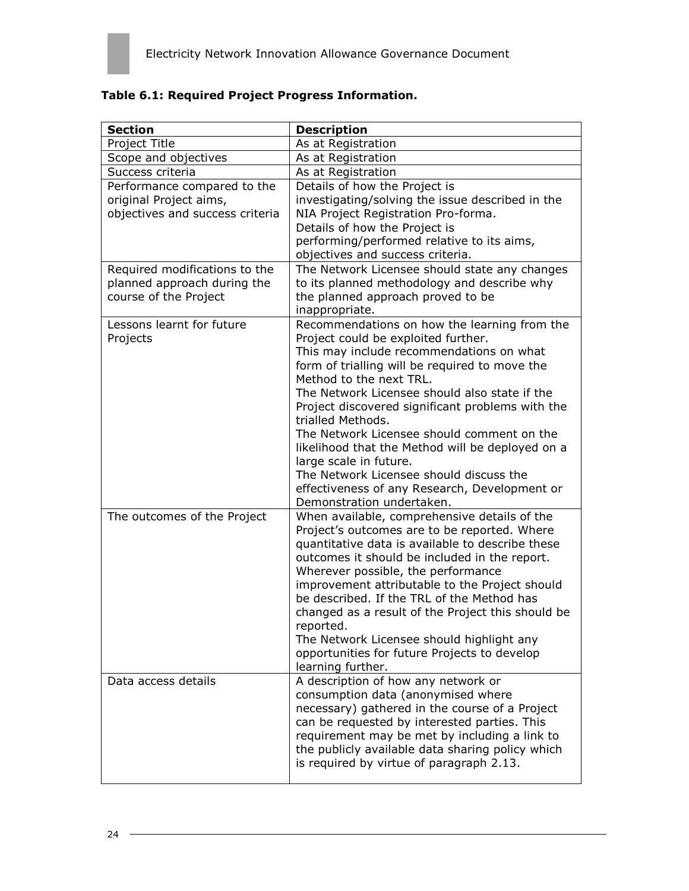## **Table 6.1: Required Project Progress Information.**

| <b>Section</b>                  | <b>Description</b>                                     |
|---------------------------------|--------------------------------------------------------|
| Project Title                   | As at Registration                                     |
| Scope and objectives            | As at Registration                                     |
| Success criteria                | As at Registration                                     |
| Performance compared to the     | Details of how the Project is                          |
| original Project aims,          | investigating/solving the issue described in the       |
| objectives and success criteria | NIA Project Registration Pro-forma.                    |
|                                 | Details of how the Project is                          |
|                                 | performing/performed relative to its aims,             |
|                                 | objectives and success criteria.                       |
| Required modifications to the   | The Network Licensee should state any changes          |
| planned approach during the     | to its planned methodology and describe why            |
| course of the Project           | the planned approach proved to be                      |
|                                 | inappropriate.                                         |
| Lessons learnt for future       | Recommendations on how the learning from the           |
| Projects                        | Project could be exploited further.                    |
|                                 | This may include recommendations on what               |
|                                 | form of trialling will be required to move the         |
|                                 | Method to the next TRL.                                |
|                                 | The Network Licensee should also state if the          |
|                                 | Project discovered significant problems with the       |
|                                 | trialled Methods.                                      |
|                                 | The Network Licensee should comment on the             |
|                                 | likelihood that the Method will be deployed on a       |
|                                 | large scale in future.                                 |
|                                 | The Network Licensee should discuss the                |
|                                 | effectiveness of any Research, Development or          |
|                                 | Demonstration undertaken.                              |
| The outcomes of the Project     | When available, comprehensive details of the           |
|                                 | Project's outcomes are to be reported. Where           |
|                                 | quantitative data is available to describe these       |
|                                 | outcomes it should be included in the report.          |
|                                 | Wherever possible, the performance                     |
|                                 | improvement attributable to the Project should         |
|                                 | be described. If the TRL of the Method has             |
|                                 | changed as a result of the Project this should be      |
|                                 | reported.<br>The Network Licensee should highlight any |
|                                 | opportunities for future Projects to develop           |
|                                 | learning further.                                      |
| Data access details             | A description of how any network or                    |
|                                 | consumption data (anonymised where                     |
|                                 | necessary) gathered in the course of a Project         |
|                                 | can be requested by interested parties. This           |
|                                 | requirement may be met by including a link to          |
|                                 | the publicly available data sharing policy which       |
|                                 | is required by virtue of paragraph 2.13.               |
|                                 |                                                        |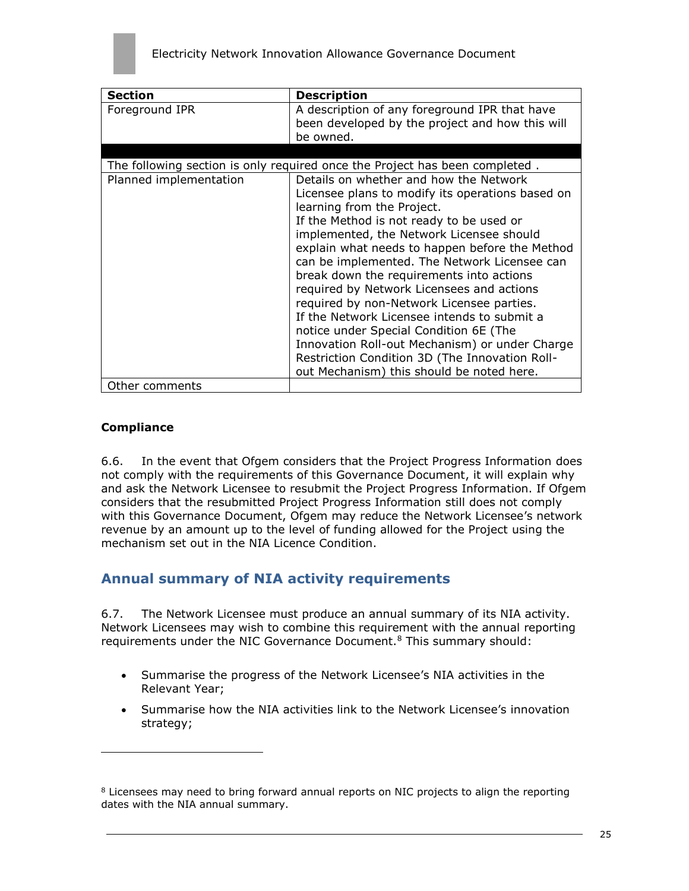

| <b>Section</b>         | <b>Description</b>                                                                                                                                                                                                                                                                                                                                                                                                                                                                                                                                                                                                                                                                                 |
|------------------------|----------------------------------------------------------------------------------------------------------------------------------------------------------------------------------------------------------------------------------------------------------------------------------------------------------------------------------------------------------------------------------------------------------------------------------------------------------------------------------------------------------------------------------------------------------------------------------------------------------------------------------------------------------------------------------------------------|
| Foreground IPR         | A description of any foreground IPR that have<br>been developed by the project and how this will<br>be owned.                                                                                                                                                                                                                                                                                                                                                                                                                                                                                                                                                                                      |
|                        |                                                                                                                                                                                                                                                                                                                                                                                                                                                                                                                                                                                                                                                                                                    |
|                        | The following section is only required once the Project has been completed.                                                                                                                                                                                                                                                                                                                                                                                                                                                                                                                                                                                                                        |
| Planned implementation | Details on whether and how the Network<br>Licensee plans to modify its operations based on<br>learning from the Project.<br>If the Method is not ready to be used or<br>implemented, the Network Licensee should<br>explain what needs to happen before the Method<br>can be implemented. The Network Licensee can<br>break down the requirements into actions<br>required by Network Licensees and actions<br>required by non-Network Licensee parties.<br>If the Network Licensee intends to submit a<br>notice under Special Condition 6E (The<br>Innovation Roll-out Mechanism) or under Charge<br>Restriction Condition 3D (The Innovation Roll-<br>out Mechanism) this should be noted here. |
| Other comments         |                                                                                                                                                                                                                                                                                                                                                                                                                                                                                                                                                                                                                                                                                                    |

#### **Compliance**

j.

6.6. In the event that Ofgem considers that the Project Progress Information does not comply with the requirements of this Governance Document, it will explain why and ask the Network Licensee to resubmit the Project Progress Information. If Ofgem considers that the resubmitted Project Progress Information still does not comply with this Governance Document, Ofgem may reduce the Network Licensee's network revenue by an amount up to the level of funding allowed for the Project using the mechanism set out in the NIA Licence Condition.

## **Annual summary of NIA activity requirements**

6.7. The Network Licensee must produce an annual summary of its NIA activity. Network Licensees may wish to combine this requirement with the annual reporting requirements under the NIC Governance Document.<sup>8</sup> This summary should:

- Summarise the progress of the Network Licensee's NIA activities in the Relevant Year;
- Summarise how the NIA activities link to the Network Licensee's innovation strategy;

<sup>&</sup>lt;sup>8</sup> Licensees may need to bring forward annual reports on NIC projects to align the reporting dates with the NIA annual summary.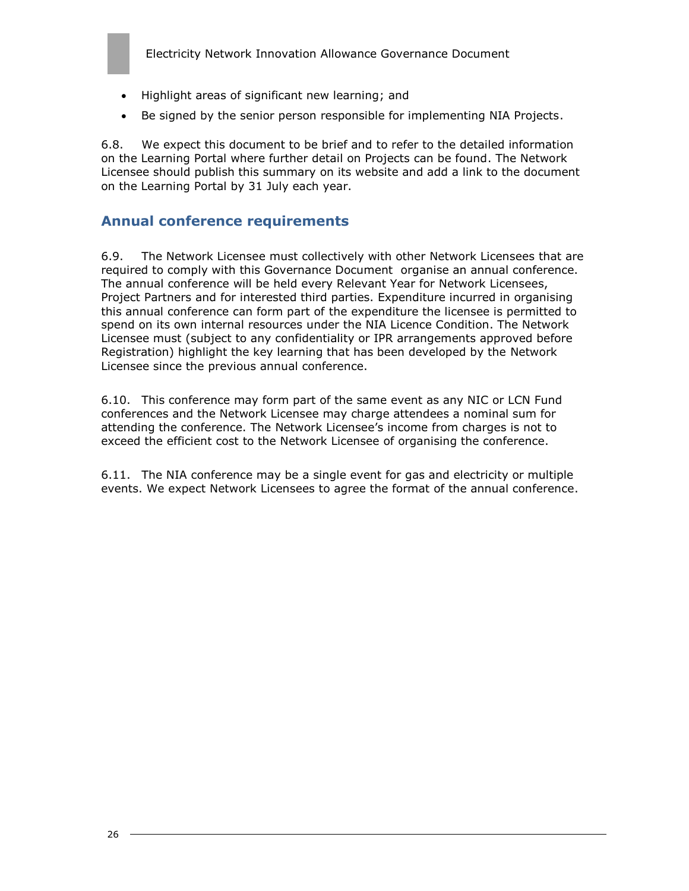- Highlight areas of significant new learning; and
- Be signed by the senior person responsible for implementing NIA Projects.

6.8. We expect this document to be brief and to refer to the detailed information on the Learning Portal where further detail on Projects can be found. The Network Licensee should publish this summary on its website and add a link to the document on the Learning Portal by 31 July each year.

### **Annual conference requirements**

6.9. The Network Licensee must collectively with other Network Licensees that are required to comply with this Governance Document organise an annual conference. The annual conference will be held every Relevant Year for Network Licensees, Project Partners and for interested third parties. Expenditure incurred in organising this annual conference can form part of the expenditure the licensee is permitted to spend on its own internal resources under the NIA Licence Condition. The Network Licensee must (subject to any confidentiality or IPR arrangements approved before Registration) highlight the key learning that has been developed by the Network Licensee since the previous annual conference.

6.10. This conference may form part of the same event as any NIC or LCN Fund conferences and the Network Licensee may charge attendees a nominal sum for attending the conference. The Network Licensee's income from charges is not to exceed the efficient cost to the Network Licensee of organising the conference.

6.11. The NIA conference may be a single event for gas and electricity or multiple events. We expect Network Licensees to agree the format of the annual conference.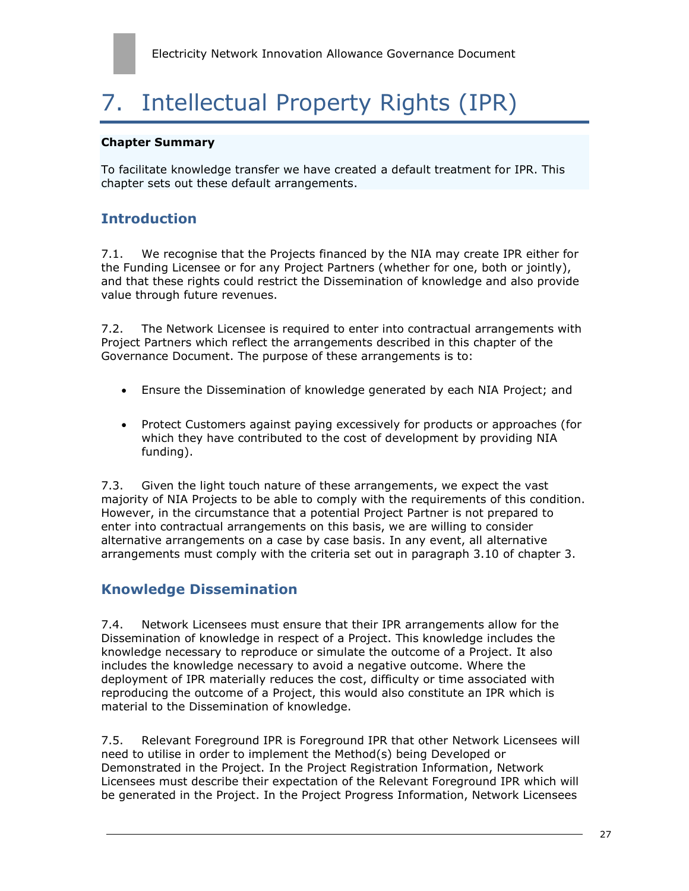# 7. Intellectual Property Rights (IPR)

#### **Chapter Summary**

To facilitate knowledge transfer we have created a default treatment for IPR. This chapter sets out these default arrangements.

## **Introduction**

7.1. We recognise that the Projects financed by the NIA may create IPR either for the Funding Licensee or for any Project Partners (whether for one, both or jointly), and that these rights could restrict the Dissemination of knowledge and also provide value through future revenues.

7.2. The Network Licensee is required to enter into contractual arrangements with Project Partners which reflect the arrangements described in this chapter of the Governance Document. The purpose of these arrangements is to:

- Ensure the Dissemination of knowledge generated by each NIA Project; and
- Protect Customers against paying excessively for products or approaches (for which they have contributed to the cost of development by providing NIA funding).

7.3. Given the light touch nature of these arrangements, we expect the vast majority of NIA Projects to be able to comply with the requirements of this condition. However, in the circumstance that a potential Project Partner is not prepared to enter into contractual arrangements on this basis, we are willing to consider alternative arrangements on a case by case basis. In any event, all alternative arrangements must comply with the criteria set out in paragraph 3.10 of chapter 3.

## **Knowledge Dissemination**

7.4. Network Licensees must ensure that their IPR arrangements allow for the Dissemination of knowledge in respect of a Project. This knowledge includes the knowledge necessary to reproduce or simulate the outcome of a Project. It also includes the knowledge necessary to avoid a negative outcome. Where the deployment of IPR materially reduces the cost, difficulty or time associated with reproducing the outcome of a Project, this would also constitute an IPR which is material to the Dissemination of knowledge.

7.5. Relevant Foreground IPR is Foreground IPR that other Network Licensees will need to utilise in order to implement the Method(s) being Developed or Demonstrated in the Project. In the Project Registration Information, Network Licensees must describe their expectation of the Relevant Foreground IPR which will be generated in the Project. In the Project Progress Information, Network Licensees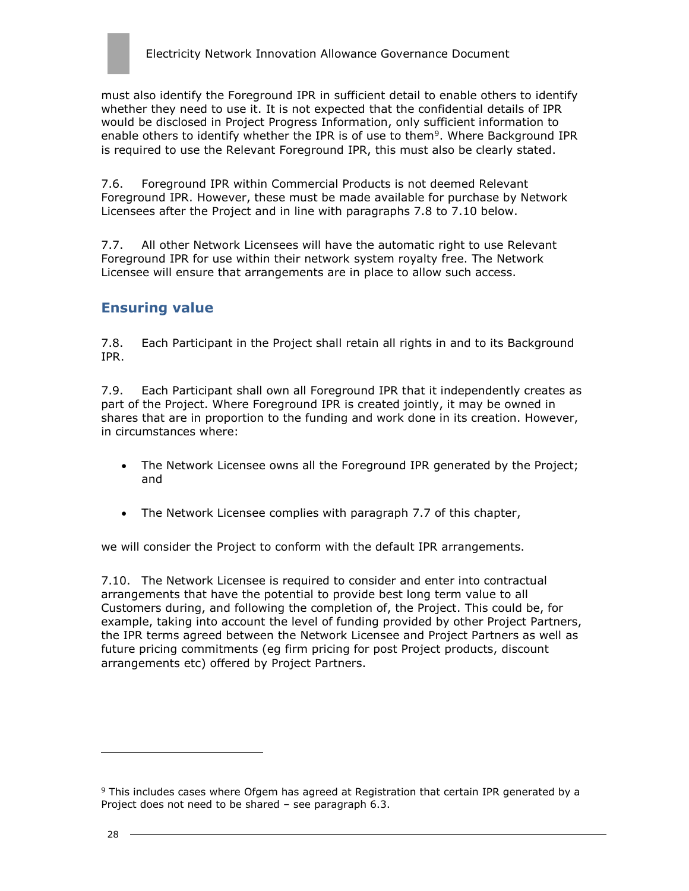must also identify the Foreground IPR in sufficient detail to enable others to identify whether they need to use it. It is not expected that the confidential details of IPR would be disclosed in Project Progress Information, only sufficient information to enable others to identify whether the IPR is of use to them<sup>9</sup>. Where Background IPR is required to use the Relevant Foreground IPR, this must also be clearly stated.

7.6. Foreground IPR within Commercial Products is not deemed Relevant Foreground IPR. However, these must be made available for purchase by Network Licensees after the Project and in line with paragraphs 7.8 to 7.10 below.

7.7. All other Network Licensees will have the automatic right to use Relevant Foreground IPR for use within their network system royalty free. The Network Licensee will ensure that arrangements are in place to allow such access.

## **Ensuring value**

7.8. Each Participant in the Project shall retain all rights in and to its Background IPR.

7.9. Each Participant shall own all Foreground IPR that it independently creates as part of the Project. Where Foreground IPR is created jointly, it may be owned in shares that are in proportion to the funding and work done in its creation. However, in circumstances where:

- The Network Licensee owns all the Foreground IPR generated by the Project; and
- The Network Licensee complies with paragraph 7.7 of this chapter,

we will consider the Project to conform with the default IPR arrangements.

7.10. The Network Licensee is required to consider and enter into contractual arrangements that have the potential to provide best long term value to all Customers during, and following the completion of, the Project. This could be, for example, taking into account the level of funding provided by other Project Partners, the IPR terms agreed between the Network Licensee and Project Partners as well as future pricing commitments (eg firm pricing for post Project products, discount arrangements etc) offered by Project Partners.

j.

<sup>&</sup>lt;sup>9</sup> This includes cases where Ofgem has agreed at Registration that certain IPR generated by a Project does not need to be shared – see paragraph 6.3.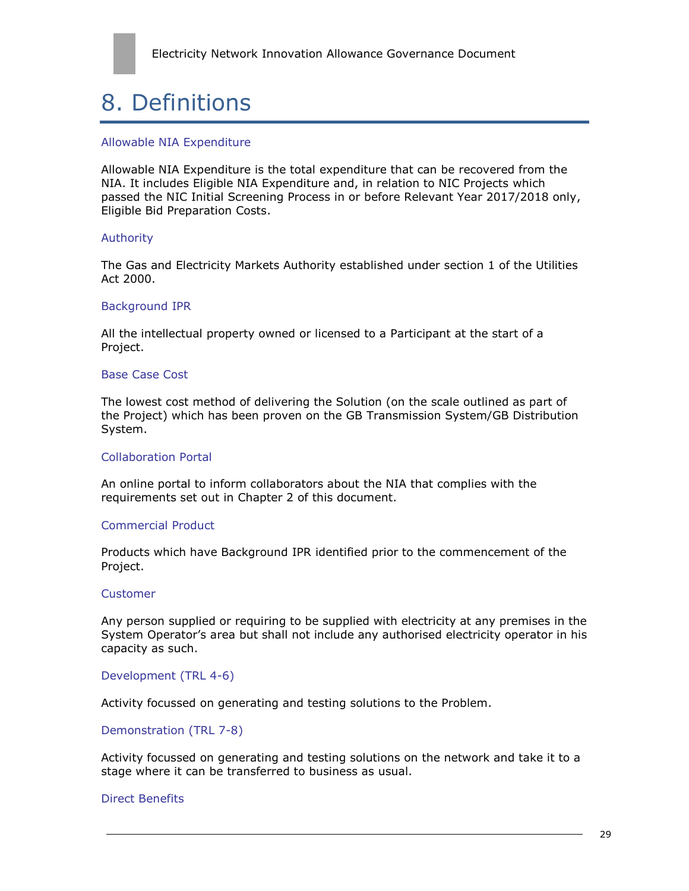## 8. Definitions

#### Allowable NIA Expenditure

Allowable NIA Expenditure is the total expenditure that can be recovered from the NIA. It includes Eligible NIA Expenditure and, in relation to NIC Projects which passed the NIC Initial Screening Process in or before Relevant Year 2017/2018 only, Eligible Bid Preparation Costs.

#### Authority

The Gas and Electricity Markets Authority established under section 1 of the Utilities Act 2000.

#### Background IPR

All the intellectual property owned or licensed to a Participant at the start of a Project.

#### Base Case Cost

The lowest cost method of delivering the Solution (on the scale outlined as part of the Project) which has been proven on the GB Transmission System/GB Distribution System.

#### Collaboration Portal

An online portal to inform collaborators about the NIA that complies with the requirements set out in Chapter 2 of this document.

#### Commercial Product

Products which have Background IPR identified prior to the commencement of the Project.

#### **Customer**

Any person supplied or requiring to be supplied with electricity at any premises in the System Operator's area but shall not include any authorised electricity operator in his capacity as such.

#### Development (TRL 4-6)

Activity focussed on generating and testing solutions to the Problem.

#### Demonstration (TRL 7-8)

Activity focussed on generating and testing solutions on the network and take it to a stage where it can be transferred to business as usual.

#### Direct Benefits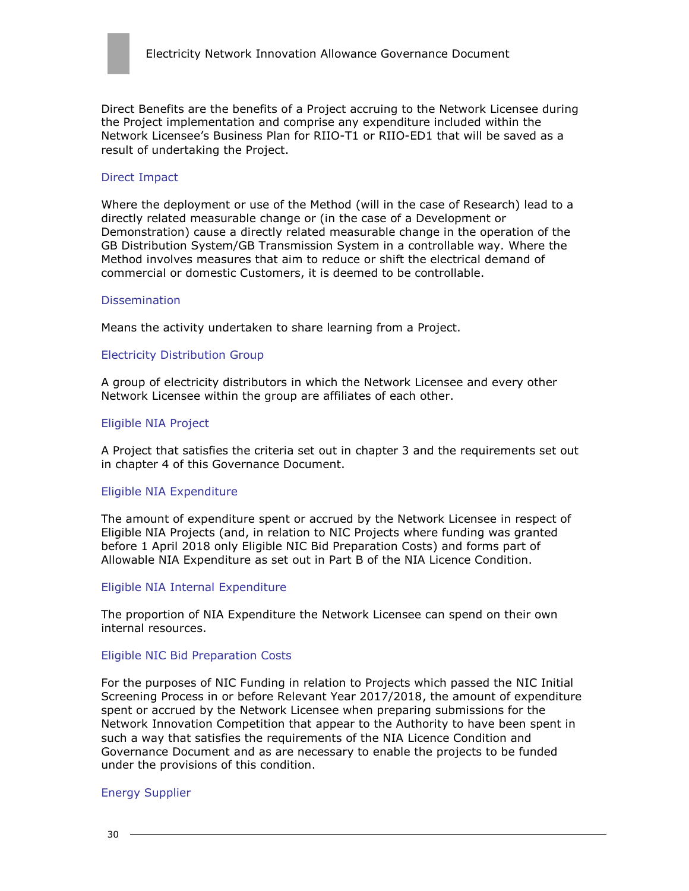Direct Benefits are the benefits of a Project accruing to the Network Licensee during the Project implementation and comprise any expenditure included within the Network Licensee's Business Plan for RIIO-T1 or RIIO-ED1 that will be saved as a result of undertaking the Project.

#### Direct Impact

Where the deployment or use of the Method (will in the case of Research) lead to a directly related measurable change or (in the case of a Development or Demonstration) cause a directly related measurable change in the operation of the GB Distribution System/GB Transmission System in a controllable way. Where the Method involves measures that aim to reduce or shift the electrical demand of commercial or domestic Customers, it is deemed to be controllable.

#### **Dissemination**

Means the activity undertaken to share learning from a Project.

#### Electricity Distribution Group

A group of electricity distributors in which the Network Licensee and every other Network Licensee within the group are affiliates of each other.

#### Eligible NIA Project

A Project that satisfies the criteria set out in chapter 3 and the requirements set out in chapter 4 of this Governance Document.

#### Eligible NIA Expenditure

The amount of expenditure spent or accrued by the Network Licensee in respect of Eligible NIA Projects (and, in relation to NIC Projects where funding was granted before 1 April 2018 only Eligible NIC Bid Preparation Costs) and forms part of Allowable NIA Expenditure as set out in Part B of the NIA Licence Condition.

#### Eligible NIA Internal Expenditure

The proportion of NIA Expenditure the Network Licensee can spend on their own internal resources.

#### Eligible NIC Bid Preparation Costs

For the purposes of NIC Funding in relation to Projects which passed the NIC Initial Screening Process in or before Relevant Year 2017/2018, the amount of expenditure spent or accrued by the Network Licensee when preparing submissions for the Network Innovation Competition that appear to the Authority to have been spent in such a way that satisfies the requirements of the NIA Licence Condition and Governance Document and as are necessary to enable the projects to be funded under the provisions of this condition.

#### Energy Supplier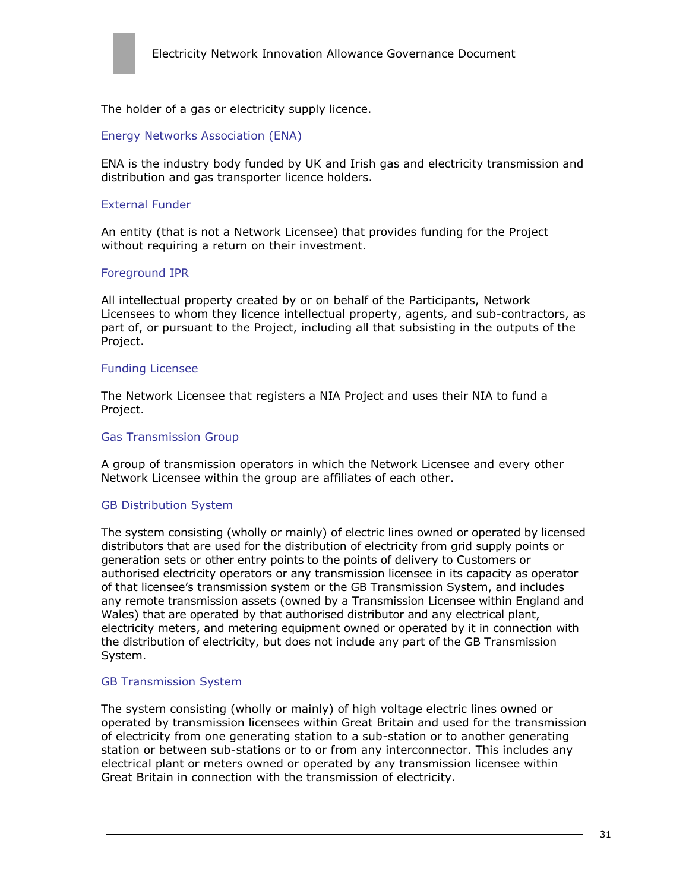The holder of a gas or electricity supply licence.

Energy Networks Association (ENA)

ENA is the industry body funded by UK and Irish gas and electricity transmission and distribution and gas transporter licence holders.

#### External Funder

An entity (that is not a Network Licensee) that provides funding for the Project without requiring a return on their investment.

#### Foreground IPR

All intellectual property created by or on behalf of the Participants, Network Licensees to whom they licence intellectual property, agents, and sub-contractors, as part of, or pursuant to the Project, including all that subsisting in the outputs of the Project.

#### Funding Licensee

The Network Licensee that registers a NIA Project and uses their NIA to fund a Project.

#### Gas Transmission Group

A group of transmission operators in which the Network Licensee and every other Network Licensee within the group are affiliates of each other.

#### GB Distribution System

The system consisting (wholly or mainly) of electric lines owned or operated by licensed distributors that are used for the distribution of electricity from grid supply points or generation sets or other entry points to the points of delivery to Customers or authorised electricity operators or any transmission licensee in its capacity as operator of that licensee's transmission system or the GB Transmission System, and includes any remote transmission assets (owned by a Transmission Licensee within England and Wales) that are operated by that authorised distributor and any electrical plant, electricity meters, and metering equipment owned or operated by it in connection with the distribution of electricity, but does not include any part of the GB Transmission System.

#### GB Transmission System

The system consisting (wholly or mainly) of high voltage electric lines owned or operated by transmission licensees within Great Britain and used for the transmission of electricity from one generating station to a sub-station or to another generating station or between sub-stations or to or from any interconnector. This includes any electrical plant or meters owned or operated by any transmission licensee within Great Britain in connection with the transmission of electricity.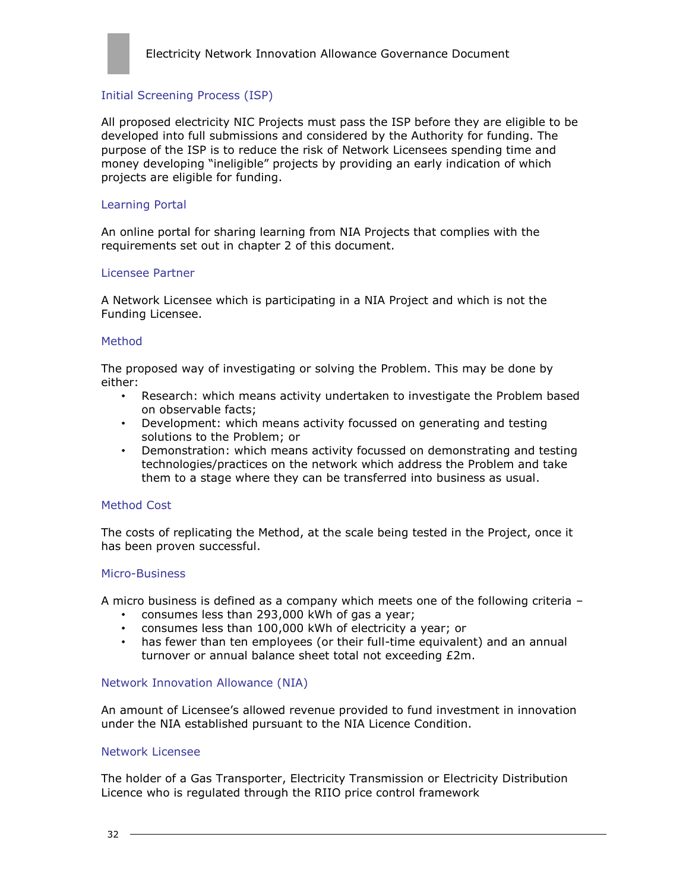#### Initial Screening Process (ISP)

All proposed electricity NIC Projects must pass the ISP before they are eligible to be developed into full submissions and considered by the Authority for funding. The purpose of the ISP is to reduce the risk of Network Licensees spending time and money developing "ineligible" projects by providing an early indication of which projects are eligible for funding.

#### Learning Portal

An online portal for sharing learning from NIA Projects that complies with the requirements set out in chapter 2 of this document.

#### Licensee Partner

A Network Licensee which is participating in a NIA Project and which is not the Funding Licensee.

#### Method

The proposed way of investigating or solving the Problem. This may be done by either:

- Research: which means activity undertaken to investigate the Problem based on observable facts;
- Development: which means activity focussed on generating and testing solutions to the Problem; or
- Demonstration: which means activity focussed on demonstrating and testing technologies/practices on the network which address the Problem and take them to a stage where they can be transferred into business as usual.

#### Method Cost

The costs of replicating the Method, at the scale being tested in the Project, once it has been proven successful.

#### Micro-Business

A micro business is defined as a company which meets one of the following criteria –

- consumes less than 293,000 kWh of gas a year;
- consumes less than 100,000 kWh of electricity a year; or
- has fewer than ten employees (or their full-time equivalent) and an annual turnover or annual balance sheet total not exceeding £2m.

#### Network Innovation Allowance (NIA)

An amount of Licensee's allowed revenue provided to fund investment in innovation under the NIA established pursuant to the NIA Licence Condition.

#### Network Licensee

The holder of a Gas Transporter, Electricity Transmission or Electricity Distribution Licence who is regulated through the RIIO price control framework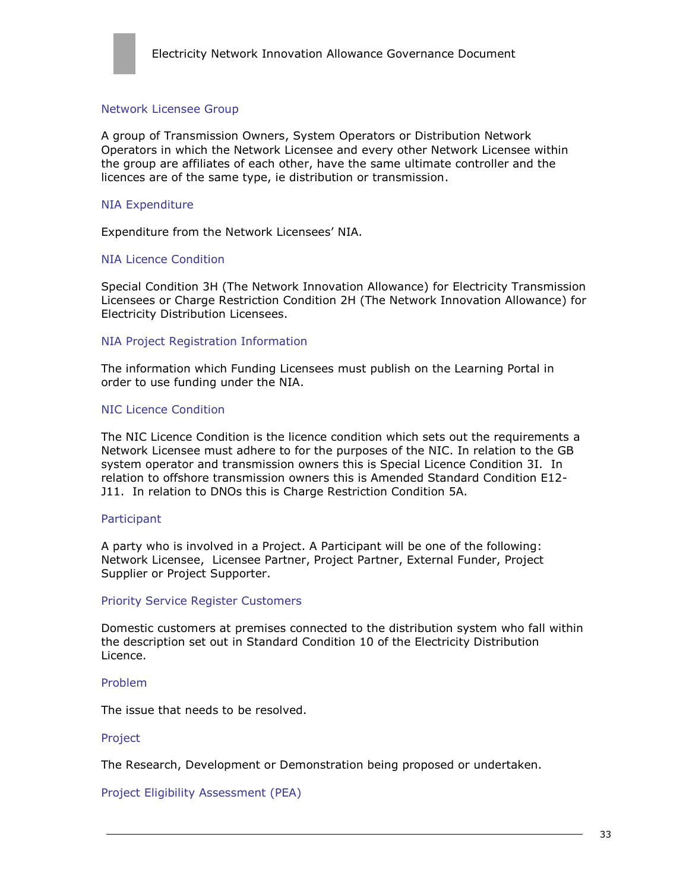#### Network Licensee Group

A group of Transmission Owners, System Operators or Distribution Network Operators in which the Network Licensee and every other Network Licensee within the group are affiliates of each other, have the same ultimate controller and the licences are of the same type, ie distribution or transmission.

#### NIA Expenditure

Expenditure from the Network Licensees' NIA.

#### NIA Licence Condition

Special Condition 3H (The Network Innovation Allowance) for Electricity Transmission Licensees or Charge Restriction Condition 2H (The Network Innovation Allowance) for Electricity Distribution Licensees.

#### NIA Project Registration Information

The information which Funding Licensees must publish on the Learning Portal in order to use funding under the NIA.

#### NIC Licence Condition

The NIC Licence Condition is the licence condition which sets out the requirements a Network Licensee must adhere to for the purposes of the NIC. In relation to the GB system operator and transmission owners this is Special Licence Condition 3I. In relation to offshore transmission owners this is Amended Standard Condition E12- J11. In relation to DNOs this is Charge Restriction Condition 5A.

#### Participant

A party who is involved in a Project. A Participant will be one of the following: Network Licensee, Licensee Partner, Project Partner, External Funder, Project Supplier or Project Supporter.

#### Priority Service Register Customers

Domestic customers at premises connected to the distribution system who fall within the description set out in Standard Condition 10 of the Electricity Distribution Licence.

#### Problem

The issue that needs to be resolved.

#### Project

The Research, Development or Demonstration being proposed or undertaken.

Project Eligibility Assessment (PEA)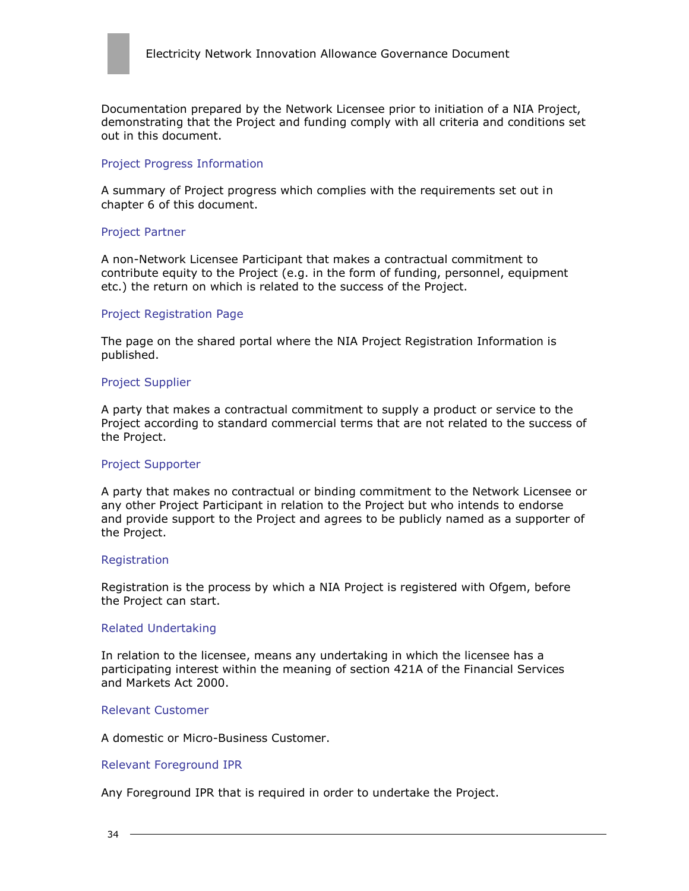Documentation prepared by the Network Licensee prior to initiation of a NIA Project, demonstrating that the Project and funding comply with all criteria and conditions set out in this document.

#### Project Progress Information

A summary of Project progress which complies with the requirements set out in chapter 6 of this document.

#### Project Partner

A non-Network Licensee Participant that makes a contractual commitment to contribute equity to the Project (e.g. in the form of funding, personnel, equipment etc.) the return on which is related to the success of the Project.

#### Project Registration Page

The page on the shared portal where the NIA Project Registration Information is published.

#### Project Supplier

A party that makes a contractual commitment to supply a product or service to the Project according to standard commercial terms that are not related to the success of the Project.

#### Project Supporter

A party that makes no contractual or binding commitment to the Network Licensee or any other Project Participant in relation to the Project but who intends to endorse and provide support to the Project and agrees to be publicly named as a supporter of the Project.

#### Registration

Registration is the process by which a NIA Project is registered with Ofgem, before the Project can start.

#### Related Undertaking

In relation to the licensee, means any undertaking in which the licensee has a participating interest within the meaning of section 421A of the Financial Services and Markets Act 2000.

#### Relevant Customer

A domestic or Micro-Business Customer.

#### Relevant Foreground IPR

Any Foreground IPR that is required in order to undertake the Project.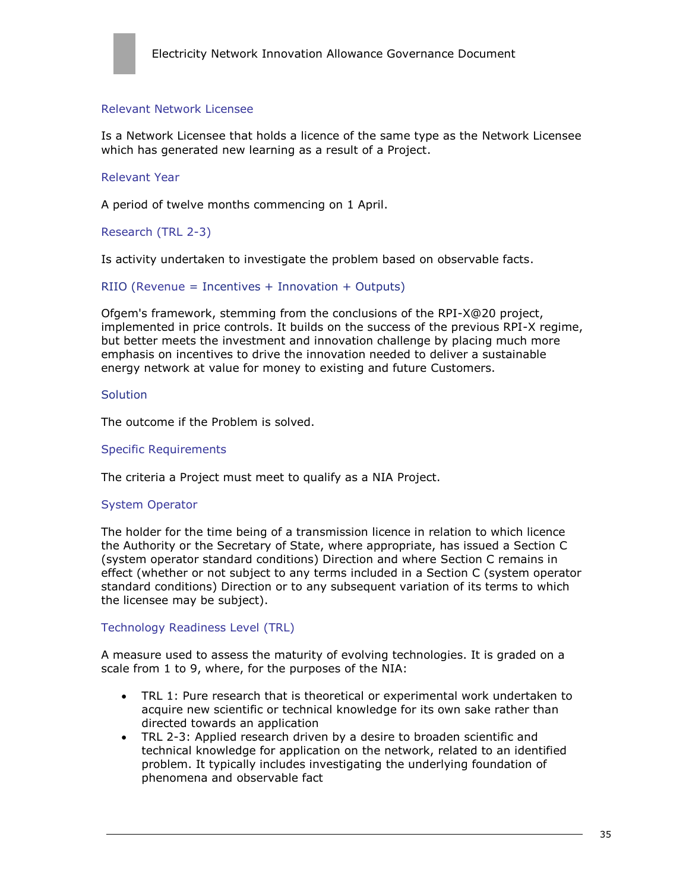#### Relevant Network Licensee

Is a Network Licensee that holds a licence of the same type as the Network Licensee which has generated new learning as a result of a Project.

#### Relevant Year

A period of twelve months commencing on 1 April.

#### Research (TRL 2-3)

Is activity undertaken to investigate the problem based on observable facts.

#### RIIO (Revenue = Incentives + Innovation + Outputs)

Ofgem's framework, stemming from the conclusions of the RPI-X@20 project, implemented in price controls. It builds on the success of the previous RPI-X regime, but better meets the investment and innovation challenge by placing much more emphasis on incentives to drive the innovation needed to deliver a sustainable energy network at value for money to existing and future Customers.

#### **Solution**

The outcome if the Problem is solved.

#### Specific Requirements

The criteria a Project must meet to qualify as a NIA Project.

#### System Operator

The holder for the time being of a transmission licence in relation to which licence the Authority or the Secretary of State, where appropriate, has issued a Section C (system operator standard conditions) Direction and where Section C remains in effect (whether or not subject to any terms included in a Section C (system operator standard conditions) Direction or to any subsequent variation of its terms to which the licensee may be subject).

#### Technology Readiness Level (TRL)

A measure used to assess the maturity of evolving technologies. It is graded on a scale from 1 to 9, where, for the purposes of the NIA:

- TRL 1: Pure research that is theoretical or experimental work undertaken to acquire new scientific or technical knowledge for its own sake rather than directed towards an application
- TRL 2-3: Applied research driven by a desire to broaden scientific and technical knowledge for application on the network, related to an identified problem. It typically includes investigating the underlying foundation of phenomena and observable fact